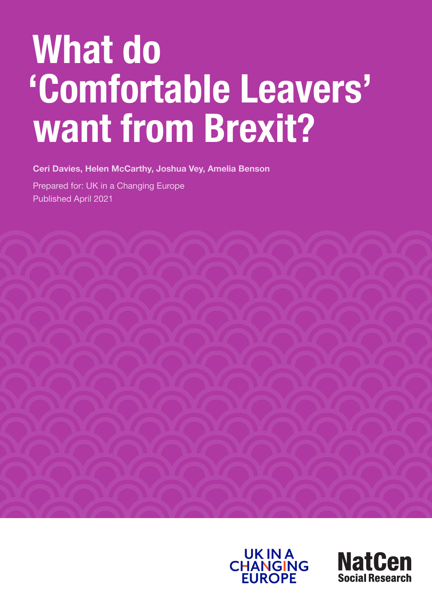# **What do 'Comfortable Leavers' want from Brexit?**

**Ceri Davies, Helen McCarthy, Joshua Vey, Amelia Benson**

Prepared for: UK in a Changing Europe Published April 2021





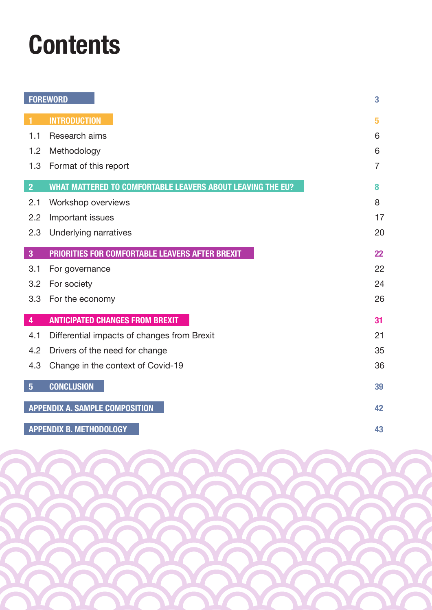## **Contents**

| <b>FOREWORD</b><br>3                        |                                                            |    |  |  |  |
|---------------------------------------------|------------------------------------------------------------|----|--|--|--|
|                                             |                                                            |    |  |  |  |
| 1                                           | <b>INTRODUCTION</b>                                        | 5  |  |  |  |
| 1.1                                         | Research aims                                              | 6  |  |  |  |
| 1.2                                         | Methodology                                                | 6  |  |  |  |
| 1.3                                         | Format of this report                                      | 7  |  |  |  |
| 2 <sup>1</sup>                              | WHAT MATTERED TO COMFORTABLE LEAVERS ABOUT LEAVING THE EU? | 8  |  |  |  |
| 2.1                                         | Workshop overviews                                         | 8  |  |  |  |
| 2.2                                         | Important issues                                           | 17 |  |  |  |
| 2.3                                         | Underlying narratives                                      | 20 |  |  |  |
| $\overline{3}$                              | PRIORITIES FOR COMFORTABLE LEAVERS AFTER BREXIT            | 22 |  |  |  |
| 3.1                                         | For governance                                             | 22 |  |  |  |
| 3.2                                         | For society                                                | 24 |  |  |  |
| 3.3                                         | For the economy                                            | 26 |  |  |  |
| $\overline{\mathbf{4}}$                     | <b>ANTICIPATED CHANGES FROM BREXIT</b>                     | 31 |  |  |  |
| 4.1                                         | Differential impacts of changes from Brexit                | 21 |  |  |  |
| 4.2                                         | Drivers of the need for change                             | 35 |  |  |  |
| 4.3                                         | Change in the context of Covid-19                          | 36 |  |  |  |
| $5\phantom{.0}$                             | <b>CONCLUSION</b>                                          | 39 |  |  |  |
| <b>APPENDIX A. SAMPLE COMPOSITION</b><br>42 |                                                            |    |  |  |  |
|                                             |                                                            |    |  |  |  |
| <b>APPENDIX B. METHODOLOGY</b><br>43        |                                                            |    |  |  |  |

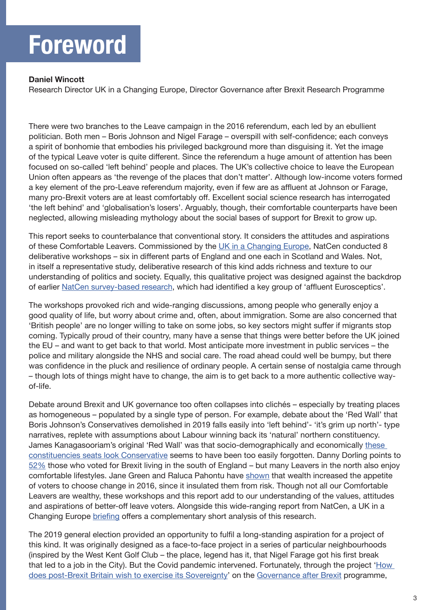## **Foreword**

### **Daniel Wincott**

Research Director UK in a Changing Europe, Director Governance after Brexit Research Programme

There were two branches to the Leave campaign in the 2016 referendum, each led by an ebullient politician. Both men – Boris Johnson and Nigel Farage – overspill with self-confidence; each conveys a spirit of bonhomie that embodies his privileged background more than disguising it. Yet the image of the typical Leave voter is quite different. Since the referendum a huge amount of attention has been focused on so-called 'left behind' people and places. The UK's collective choice to leave the European Union often appears as 'the revenge of the places that don't matter'. Although low-income voters formed a key element of the pro-Leave referendum majority, even if few are as affluent at Johnson or Farage, many pro-Brexit voters are at least comfortably off. Excellent social science research has interrogated 'the left behind' and 'globalisation's losers'. Arguably, though, their comfortable counterparts have been neglected, allowing misleading mythology about the social bases of support for Brexit to grow up.

This report seeks to counterbalance that conventional story. It considers the attitudes and aspirations of these Comfortable Leavers. Commissioned by the [UK in a Changing Europe,](https://ukandeu.ac.uk/) NatCen conducted 8 deliberative workshops – six in different parts of England and one each in Scotland and Wales. Not, in itself a representative study, deliberative research of this kind adds richness and texture to our understanding of politics and society. Equally, this qualitative project was designed against the backdrop of earlier [NatCen survey-based research](https://natcen.ac.uk/media/1319222/natcen_brexplanations-report-final-web2.pdf), which had identified a key group of 'affluent Eurosceptics'.

The workshops provoked rich and wide-ranging discussions, among people who generally enjoy a good quality of life, but worry about crime and, often, about immigration. Some are also concerned that 'British people' are no longer willing to take on some jobs, so key sectors might suffer if migrants stop coming. Typically proud of their country, many have a sense that things were better before the UK joined the EU – and want to get back to that world. Most anticipate more investment in public services – the police and military alongside the NHS and social care. The road ahead could well be bumpy, but there was confidence in the pluck and resilience of ordinary people. A certain sense of nostalgia came through – though lots of things might have to change, the aim is to get back to a more authentic collective wayof-life.

Debate around Brexit and UK governance too often collapses into clichés – especially by treating places as homogeneous – populated by a single type of person. For example, debate about the 'Red Wall' that Boris Johnson's Conservatives demolished in 2019 falls easily into 'left behind'- 'it's grim up north'- type narratives, replete with assumptions about Labour winning back its 'natural' northern constituency. James Kanagasooriam's original 'Red Wall' was that socio-demographically and economically these [constituencies seats look Conservative](https://twitter.com/JamesKanag/status/1161639307536457730) seems to have been too easily forgotten. Danny Dorling points to [52%](http://www.dannydorling.org/?p=5568) those who voted for Brexit living in the south of England – but many Leavers in the north also enjoy comfortable lifestyles. Jane Green and Raluca Pahontu have [shown](https://papers.ssrn.com/sol3/papers.cfm?abstract_id=3764889) that wealth increased the appetite of voters to choose change in 2016, since it insulated them from risk. Though not all our Comfortable Leavers are wealthy, these workshops and this report add to our understanding of the values, attitudes and aspirations of better-off leave voters. Alongside this wide-ranging report from NatCen, a UK in a Changing Europe [briefing](https://ukandeu.ac.uk/wp-content/uploads/2021/04/Comfortable-Leavers.pdf) offers a complementary short analysis of this research.

The 2019 general election provided an opportunity to fulfil a long-standing aspiration for a project of this kind. It was originally designed as a face-to-face project in a series of particular neighbourhoods (inspired by the West Kent Golf Club – the place, legend has it, that Nigel Farage got his first break that led to a job in the City). But the Covid pandemic intervened. Fortunately, through the project 'How [does post-Brexit Britain wish to exercise its Sovereignty'](https://gtr.ukri.org/projects?ref=ES%2FS007954%2F1) on the [Governance after Brexit](https://ukandeu.ac.uk/governance-after-brexit-programme/) programme,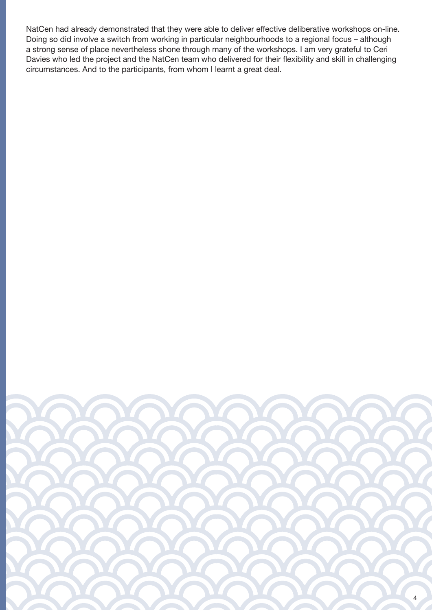NatCen had already demonstrated that they were able to deliver effective deliberative workshops on-line. Doing so did involve a switch from working in particular neighbourhoods to a regional focus – although a strong sense of place nevertheless shone through many of the workshops. I am very grateful to Ceri Davies who led the project and the NatCen team who delivered for their flexibility and skill in challenging circumstances. And to the participants, from whom I learnt a great deal.

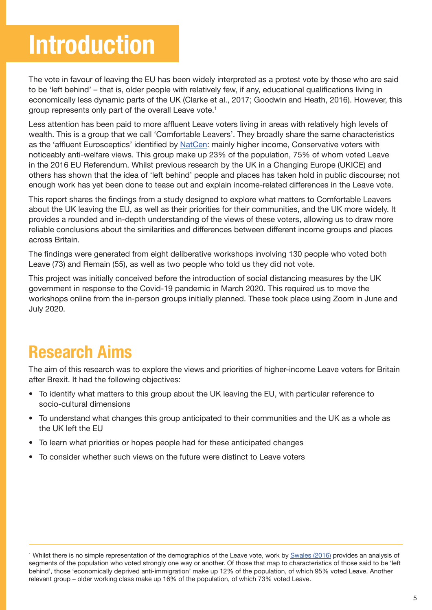## **Introduction**

The vote in favour of leaving the EU has been widely interpreted as a protest vote by those who are said to be 'left behind' – that is, older people with relatively few, if any, educational qualifications living in economically less dynamic parts of the UK (Clarke et al., 2017; Goodwin and Heath, 2016). However, this group represents only part of the overall Leave vote.<sup>1</sup>

Less attention has been paid to more affluent Leave voters living in areas with relatively high levels of wealth. This is a group that we call 'Comfortable Leavers'. They broadly share the same characteristics as the 'affluent Eurosceptics' identified by [NatCen:](https://www.natcen.ac.uk/media/1319222/natcen_brexplanations-report-final-web2.pdf) mainly higher income, Conservative voters with noticeably anti-welfare views. This group make up 23% of the population, 75% of whom voted Leave in the 2016 EU Referendum. Whilst previous research by the UK in a Changing Europe (UKICE) and others has shown that the idea of 'left behind' people and places has taken hold in public discourse; not enough work has yet been done to tease out and explain income-related differences in the Leave vote.

This report shares the findings from a study designed to explore what matters to Comfortable Leavers about the UK leaving the EU, as well as their priorities for their communities, and the UK more widely. It provides a rounded and in-depth understanding of the views of these voters, allowing us to draw more reliable conclusions about the similarities and differences between different income groups and places across Britain.

The findings were generated from eight deliberative workshops involving 130 people who voted both Leave (73) and Remain (55), as well as two people who told us they did not vote.

This project was initially conceived before the introduction of social distancing measures by the UK government in response to the Covid-19 pandemic in March 2020. This required us to move the workshops online from the in-person groups initially planned. These took place using Zoom in June and July 2020.

### **Research Aims**

The aim of this research was to explore the views and priorities of higher-income Leave voters for Britain after Brexit. It had the following objectives:

- To identify what matters to this group about the UK leaving the EU, with particular reference to socio-cultural dimensions
- To understand what changes this group anticipated to their communities and the UK as a whole as the UK left the EU
- To learn what priorities or hopes people had for these anticipated changes
- To consider whether such views on the future were distinct to Leave voters

<sup>&</sup>lt;sup>1</sup> Whilst there is no simple representation of the demographics of the Leave vote, work by [Swales \(2016\)](https://natcen.ac.uk/media/1319222/natcen_brexplanations-report-final-web2.pdf) provides an analysis of segments of the population who voted strongly one way or another. Of those that map to characteristics of those said to be 'left behind', those 'economically deprived anti-immigration' make up 12% of the population, of which 95% voted Leave. Another relevant group – older working class make up 16% of the population, of which 73% voted Leave.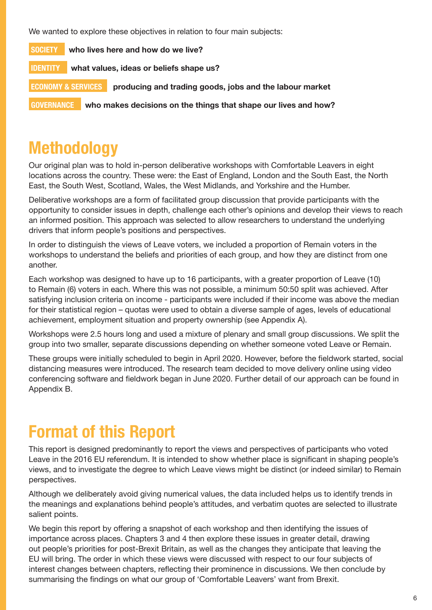We wanted to explore these objectives in relation to four main subjects:

**SOCIETY who lives here and how do we live?**

**IDENTITY what values, ideas or beliefs shape us?**

**ECONOMY & SERVICES producing and trading goods, jobs and the labour market**

**GOVERNANCE who makes decisions on the things that shape our lives and how?**

### **Methodology**

Our original plan was to hold in-person deliberative workshops with Comfortable Leavers in eight locations across the country. These were: the East of England, London and the South East, the North East, the South West, Scotland, Wales, the West Midlands, and Yorkshire and the Humber.

Deliberative workshops are a form of facilitated group discussion that provide participants with the opportunity to consider issues in depth, challenge each other's opinions and develop their views to reach an informed position. This approach was selected to allow researchers to understand the underlying drivers that inform people's positions and perspectives.

In order to distinguish the views of Leave voters, we included a proportion of Remain voters in the workshops to understand the beliefs and priorities of each group, and how they are distinct from one another.

Each workshop was designed to have up to 16 participants, with a greater proportion of Leave (10) to Remain (6) voters in each. Where this was not possible, a minimum 50:50 split was achieved. After satisfying inclusion criteria on income - participants were included if their income was above the median for their statistical region – quotas were used to obtain a diverse sample of ages, levels of educational achievement, employment situation and property ownership (see Appendix A).

Workshops were 2.5 hours long and used a mixture of plenary and small group discussions. We split the group into two smaller, separate discussions depending on whether someone voted Leave or Remain.

These groups were initially scheduled to begin in April 2020. However, before the fieldwork started, social distancing measures were introduced. The research team decided to move delivery online using video conferencing software and fieldwork began in June 2020. Further detail of our approach can be found in Appendix B.

### **Format of this Report**

This report is designed predominantly to report the views and perspectives of participants who voted Leave in the 2016 EU referendum. It is intended to show whether place is significant in shaping people's views, and to investigate the degree to which Leave views might be distinct (or indeed similar) to Remain perspectives.

Although we deliberately avoid giving numerical values, the data included helps us to identify trends in the meanings and explanations behind people's attitudes, and verbatim quotes are selected to illustrate salient points.

We begin this report by offering a snapshot of each workshop and then identifying the issues of importance across places. Chapters 3 and 4 then explore these issues in greater detail, drawing out people's priorities for post-Brexit Britain, as well as the changes they anticipate that leaving the EU will bring. The order in which these views were discussed with respect to our four subjects of interest changes between chapters, reflecting their prominence in discussions. We then conclude by summarising the findings on what our group of 'Comfortable Leavers' want from Brexit.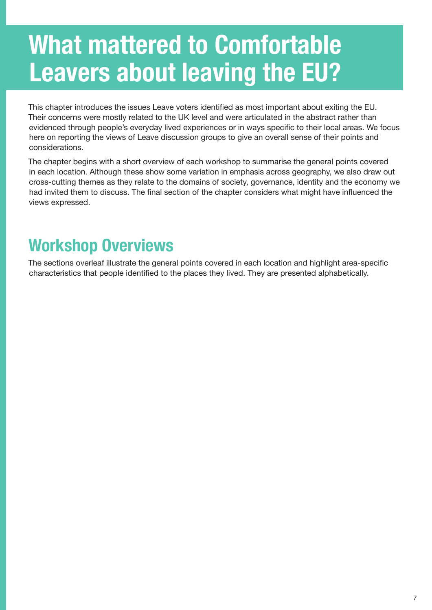## **What mattered to Comfortable Leavers about leaving the EU?**

This chapter introduces the issues Leave voters identified as most important about exiting the EU. Their concerns were mostly related to the UK level and were articulated in the abstract rather than evidenced through people's everyday lived experiences or in ways specific to their local areas. We focus here on reporting the views of Leave discussion groups to give an overall sense of their points and considerations.

The chapter begins with a short overview of each workshop to summarise the general points covered in each location. Although these show some variation in emphasis across geography, we also draw out cross-cutting themes as they relate to the domains of society, governance, identity and the economy we had invited them to discuss. The final section of the chapter considers what might have influenced the views expressed.

### **Workshop Overviews**

The sections overleaf illustrate the general points covered in each location and highlight area-specific characteristics that people identified to the places they lived. They are presented alphabetically.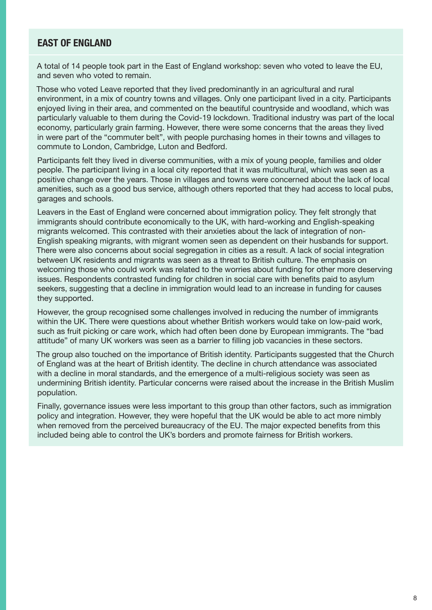### **EAST OF ENGLAND**

A total of 14 people took part in the East of England workshop: seven who voted to leave the EU, and seven who voted to remain.

Those who voted Leave reported that they lived predominantly in an agricultural and rural environment, in a mix of country towns and villages. Only one participant lived in a city. Participants enjoyed living in their area, and commented on the beautiful countryside and woodland, which was particularly valuable to them during the Covid-19 lockdown. Traditional industry was part of the local economy, particularly grain farming. However, there were some concerns that the areas they lived in were part of the "commuter belt", with people purchasing homes in their towns and villages to commute to London, Cambridge, Luton and Bedford.

Participants felt they lived in diverse communities, with a mix of young people, families and older people. The participant living in a local city reported that it was multicultural, which was seen as a positive change over the years. Those in villages and towns were concerned about the lack of local amenities, such as a good bus service, although others reported that they had access to local pubs, garages and schools.

Leavers in the East of England were concerned about immigration policy. They felt strongly that immigrants should contribute economically to the UK, with hard-working and English-speaking migrants welcomed. This contrasted with their anxieties about the lack of integration of non-English speaking migrants, with migrant women seen as dependent on their husbands for support. There were also concerns about social segregation in cities as a result. A lack of social integration between UK residents and migrants was seen as a threat to British culture. The emphasis on welcoming those who could work was related to the worries about funding for other more deserving issues. Respondents contrasted funding for children in social care with benefits paid to asylum seekers, suggesting that a decline in immigration would lead to an increase in funding for causes they supported.

However, the group recognised some challenges involved in reducing the number of immigrants within the UK. There were questions about whether British workers would take on low-paid work, such as fruit picking or care work, which had often been done by European immigrants. The "bad attitude" of many UK workers was seen as a barrier to filling job vacancies in these sectors.

The group also touched on the importance of British identity. Participants suggested that the Church of England was at the heart of British identity. The decline in church attendance was associated with a decline in moral standards, and the emergence of a multi-religious society was seen as undermining British identity. Particular concerns were raised about the increase in the British Muslim population.

Finally, governance issues were less important to this group than other factors, such as immigration policy and integration. However, they were hopeful that the UK would be able to act more nimbly when removed from the perceived bureaucracy of the EU. The major expected benefits from this included being able to control the UK's borders and promote fairness for British workers.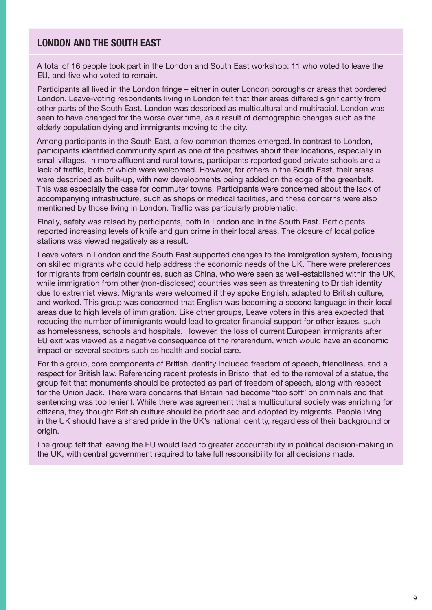### **LONDON AND THE SOUTH EAST**

A total of 16 people took part in the London and South East workshop: 11 who voted to leave the EU, and five who voted to remain.

Participants all lived in the London fringe – either in outer London boroughs or areas that bordered London. Leave-voting respondents living in London felt that their areas differed significantly from other parts of the South East. London was described as multicultural and multiracial. London was seen to have changed for the worse over time, as a result of demographic changes such as the elderly population dying and immigrants moving to the city.

Among participants in the South East, a few common themes emerged. In contrast to London, participants identified community spirit as one of the positives about their locations, especially in small villages. In more affluent and rural towns, participants reported good private schools and a lack of traffic, both of which were welcomed. However, for others in the South East, their areas were described as built-up, with new developments being added on the edge of the greenbelt. This was especially the case for commuter towns. Participants were concerned about the lack of accompanying infrastructure, such as shops or medical facilities, and these concerns were also mentioned by those living in London. Traffic was particularly problematic.

Finally, safety was raised by participants, both in London and in the South East. Participants reported increasing levels of knife and gun crime in their local areas. The closure of local police stations was viewed negatively as a result.

Leave voters in London and the South East supported changes to the immigration system, focusing on skilled migrants who could help address the economic needs of the UK. There were preferences for migrants from certain countries, such as China, who were seen as well-established within the UK, while immigration from other (non-disclosed) countries was seen as threatening to British identity due to extremist views. Migrants were welcomed if they spoke English, adapted to British culture, and worked. This group was concerned that English was becoming a second language in their local areas due to high levels of immigration. Like other groups, Leave voters in this area expected that reducing the number of immigrants would lead to greater financial support for other issues, such as homelessness, schools and hospitals. However, the loss of current European immigrants after EU exit was viewed as a negative consequence of the referendum, which would have an economic impact on several sectors such as health and social care.

For this group, core components of British identity included freedom of speech, friendliness, and a respect for British law. Referencing recent protests in Bristol that led to the removal of a statue, the group felt that monuments should be protected as part of freedom of speech, along with respect for the Union Jack. There were concerns that Britain had become "too soft" on criminals and that sentencing was too lenient. While there was agreement that a multicultural society was enriching for citizens, they thought British culture should be prioritised and adopted by migrants. People living in the UK should have a shared pride in the UK's national identity, regardless of their background or origin.

The group felt that leaving the EU would lead to greater accountability in political decision-making in the UK, with central government required to take full responsibility for all decisions made.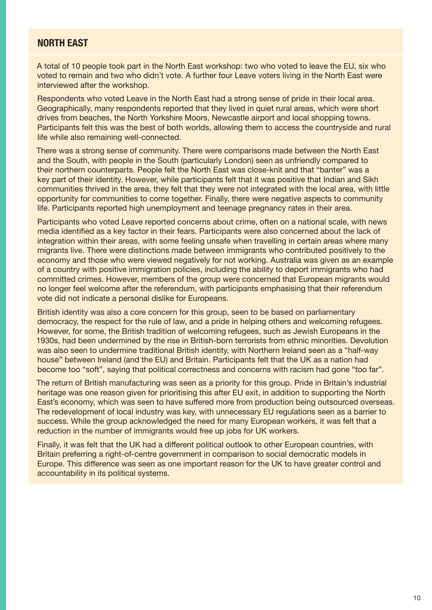### **NORTH EAST**

A total of 10 people took part in the North East workshop: two who voted to leave the EU, six who voted to remain and two who didn't vote. A further four Leave voters living in the North East were interviewed after the workshop.

Respondents who voted Leave in the North East had a strong sense of pride in their local area. Geographically, many respondents reported that they lived in quiet rural areas, which were short drives from beaches, the North Yorkshire Moors, Newcastle airport and local shopping towns. Participants felt this was the best of both worlds, allowing them to access the countryside and rural life while also remaining well-connected.

There was a strong sense of community. There were comparisons made between the North East and the South, with people in the South (particularly London) seen as unfriendly compared to their northern counterparts. People felt the North East was close-knit and that "banter" was a key part of their identity. However, while participants felt that it was positive that Indian and Sikh communities thrived in the area, they felt that they were not integrated with the local area, with little opportunity for communities to come together. Finally, there were negative aspects to community life. Participants reported high unemployment and teenage pregnancy rates in their area.

Participants who voted Leave reported concerns about crime, often on a national scale, with news media identified as a key factor in their fears. Participants were also concerned about the lack of integration within their areas, with some feeling unsafe when travelling in certain areas where many migrants live. There were distinctions made between immigrants who contributed positively to the economy and those who were viewed negatively for not working. Australia was given as an example of a country with positive immigration policies, including the ability to deport immigrants who had committed crimes. However, members of the group were concerned that European migrants would no longer feel welcome after the referendum, with participants emphasising that their referendum vote did not indicate a personal dislike for Europeans.

British identity was also a core concern for this group, seen to be based on parliamentary democracy, the respect for the rule of law, and a pride in helping others and welcoming refugees. However, for some, the British tradition of welcoming refugees, such as Jewish Europeans in the 1930s, had been undermined by the rise in British-born terrorists from ethnic minorities. Devolution was also seen to undermine traditional British identity, with Northern Ireland seen as a "half-way house" between Ireland (and the EU) and Britain. Participants felt that the UK as a nation had become too "soft", saying that political correctness and concerns with racism had gone "too far".

The return of British manufacturing was seen as a priority for this group. Pride in Britain's industrial heritage was one reason given for prioritising this after EU exit, in addition to supporting the North East's economy, which was seen to have suffered more from production being outsourced overseas. The redevelopment of local industry was key, with unnecessary EU regulations seen as a barrier to success. While the group acknowledged the need for many European workers, it was felt that a reduction in the number of immigrants would free up jobs for UK workers.

Finally, it was felt that the UK had a different political outlook to other European countries, with Britain preferring a right-of-centre government in comparison to social democratic models in Europe. This difference was seen as one important reason for the UK to have greater control and accountability in its political systems.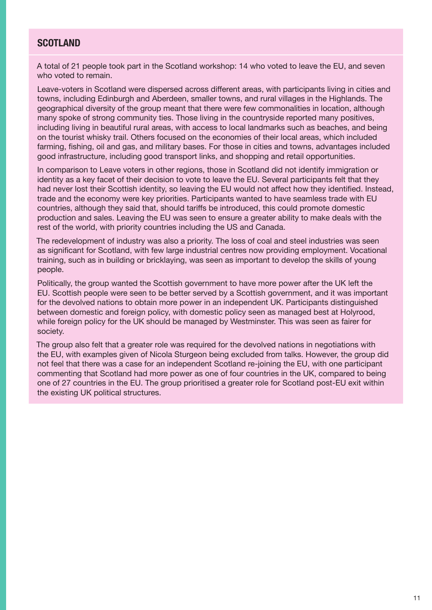### **SCOTLAND**

A total of 21 people took part in the Scotland workshop: 14 who voted to leave the EU, and seven who voted to remain.

Leave-voters in Scotland were dispersed across different areas, with participants living in cities and towns, including Edinburgh and Aberdeen, smaller towns, and rural villages in the Highlands. The geographical diversity of the group meant that there were few commonalities in location, although many spoke of strong community ties. Those living in the countryside reported many positives, including living in beautiful rural areas, with access to local landmarks such as beaches, and being on the tourist whisky trail. Others focused on the economies of their local areas, which included farming, fishing, oil and gas, and military bases. For those in cities and towns, advantages included good infrastructure, including good transport links, and shopping and retail opportunities.

In comparison to Leave voters in other regions, those in Scotland did not identify immigration or identity as a key facet of their decision to vote to leave the EU. Several participants felt that they had never lost their Scottish identity, so leaving the EU would not affect how they identified. Instead, trade and the economy were key priorities. Participants wanted to have seamless trade with EU countries, although they said that, should tariffs be introduced, this could promote domestic production and sales. Leaving the EU was seen to ensure a greater ability to make deals with the rest of the world, with priority countries including the US and Canada.

The redevelopment of industry was also a priority. The loss of coal and steel industries was seen as significant for Scotland, with few large industrial centres now providing employment. Vocational training, such as in building or bricklaying, was seen as important to develop the skills of young people.

Politically, the group wanted the Scottish government to have more power after the UK left the EU. Scottish people were seen to be better served by a Scottish government, and it was important for the devolved nations to obtain more power in an independent UK. Participants distinguished between domestic and foreign policy, with domestic policy seen as managed best at Holyrood, while foreign policy for the UK should be managed by Westminster. This was seen as fairer for society.

The group also felt that a greater role was required for the devolved nations in negotiations with the EU, with examples given of Nicola Sturgeon being excluded from talks. However, the group did not feel that there was a case for an independent Scotland re-joining the EU, with one participant commenting that Scotland had more power as one of four countries in the UK, compared to being one of 27 countries in the EU. The group prioritised a greater role for Scotland post-EU exit within the existing UK political structures.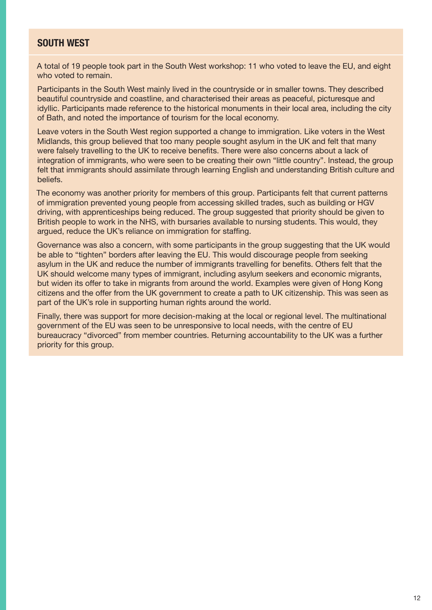### **SOUTH WEST**

A total of 19 people took part in the South West workshop: 11 who voted to leave the EU, and eight who voted to remain.

Participants in the South West mainly lived in the countryside or in smaller towns. They described beautiful countryside and coastline, and characterised their areas as peaceful, picturesque and idyllic. Participants made reference to the historical monuments in their local area, including the city of Bath, and noted the importance of tourism for the local economy.

Leave voters in the South West region supported a change to immigration. Like voters in the West Midlands, this group believed that too many people sought asylum in the UK and felt that many were falsely travelling to the UK to receive benefits. There were also concerns about a lack of integration of immigrants, who were seen to be creating their own "little country". Instead, the group felt that immigrants should assimilate through learning English and understanding British culture and beliefs.

The economy was another priority for members of this group. Participants felt that current patterns of immigration prevented young people from accessing skilled trades, such as building or HGV driving, with apprenticeships being reduced. The group suggested that priority should be given to British people to work in the NHS, with bursaries available to nursing students. This would, they argued, reduce the UK's reliance on immigration for staffing.

Governance was also a concern, with some participants in the group suggesting that the UK would be able to "tighten" borders after leaving the EU. This would discourage people from seeking asylum in the UK and reduce the number of immigrants travelling for benefits. Others felt that the UK should welcome many types of immigrant, including asylum seekers and economic migrants, but widen its offer to take in migrants from around the world. Examples were given of Hong Kong citizens and the offer from the UK government to create a path to UK citizenship. This was seen as part of the UK's role in supporting human rights around the world.

Finally, there was support for more decision-making at the local or regional level. The multinational government of the EU was seen to be unresponsive to local needs, with the centre of EU bureaucracy "divorced" from member countries. Returning accountability to the UK was a further priority for this group.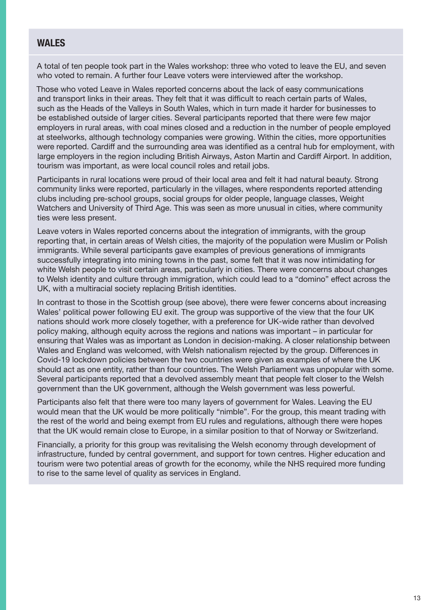### **WALES**

A total of ten people took part in the Wales workshop: three who voted to leave the EU, and seven who voted to remain. A further four Leave voters were interviewed after the workshop.

Those who voted Leave in Wales reported concerns about the lack of easy communications and transport links in their areas. They felt that it was difficult to reach certain parts of Wales, such as the Heads of the Valleys in South Wales, which in turn made it harder for businesses to be established outside of larger cities. Several participants reported that there were few major employers in rural areas, with coal mines closed and a reduction in the number of people employed at steelworks, although technology companies were growing. Within the cities, more opportunities were reported. Cardiff and the surrounding area was identified as a central hub for employment, with large employers in the region including British Airways, Aston Martin and Cardiff Airport. In addition, tourism was important, as were local council roles and retail jobs.

Participants in rural locations were proud of their local area and felt it had natural beauty. Strong community links were reported, particularly in the villages, where respondents reported attending clubs including pre-school groups, social groups for older people, language classes, Weight Watchers and University of Third Age. This was seen as more unusual in cities, where community ties were less present.

Leave voters in Wales reported concerns about the integration of immigrants, with the group reporting that, in certain areas of Welsh cities, the majority of the population were Muslim or Polish immigrants. While several participants gave examples of previous generations of immigrants successfully integrating into mining towns in the past, some felt that it was now intimidating for white Welsh people to visit certain areas, particularly in cities. There were concerns about changes to Welsh identity and culture through immigration, which could lead to a "domino" effect across the UK, with a multiracial society replacing British identities.

In contrast to those in the Scottish group (see above), there were fewer concerns about increasing Wales' political power following EU exit. The group was supportive of the view that the four UK nations should work more closely together, with a preference for UK-wide rather than devolved policy making, although equity across the regions and nations was important – in particular for ensuring that Wales was as important as London in decision-making. A closer relationship between Wales and England was welcomed, with Welsh nationalism rejected by the group. Differences in Covid-19 lockdown policies between the two countries were given as examples of where the UK should act as one entity, rather than four countries. The Welsh Parliament was unpopular with some. Several participants reported that a devolved assembly meant that people felt closer to the Welsh government than the UK government, although the Welsh government was less powerful.

Participants also felt that there were too many layers of government for Wales. Leaving the EU would mean that the UK would be more politically "nimble". For the group, this meant trading with the rest of the world and being exempt from EU rules and regulations, although there were hopes that the UK would remain close to Europe, in a similar position to that of Norway or Switzerland.

Financially, a priority for this group was revitalising the Welsh economy through development of infrastructure, funded by central government, and support for town centres. Higher education and tourism were two potential areas of growth for the economy, while the NHS required more funding to rise to the same level of quality as services in England.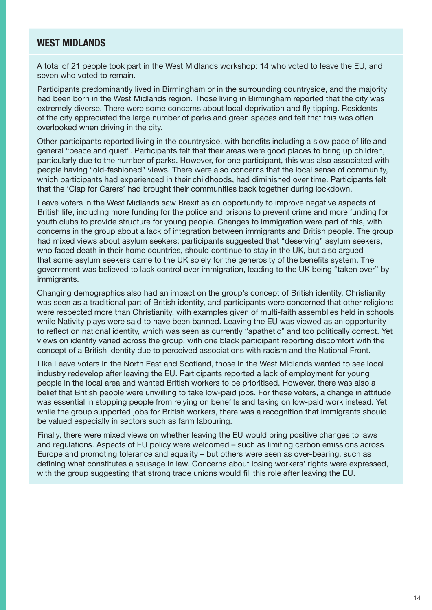### **WEST MIDLANDS**

A total of 21 people took part in the West Midlands workshop: 14 who voted to leave the EU, and seven who voted to remain.

Participants predominantly lived in Birmingham or in the surrounding countryside, and the majority had been born in the West Midlands region. Those living in Birmingham reported that the city was extremely diverse. There were some concerns about local deprivation and fly tipping. Residents of the city appreciated the large number of parks and green spaces and felt that this was often overlooked when driving in the city.

Other participants reported living in the countryside, with benefits including a slow pace of life and general "peace and quiet". Participants felt that their areas were good places to bring up children, particularly due to the number of parks. However, for one participant, this was also associated with people having "old-fashioned" views. There were also concerns that the local sense of community, which participants had experienced in their childhoods, had diminished over time. Participants felt that the 'Clap for Carers' had brought their communities back together during lockdown.

Leave voters in the West Midlands saw Brexit as an opportunity to improve negative aspects of British life, including more funding for the police and prisons to prevent crime and more funding for youth clubs to provide structure for young people. Changes to immigration were part of this, with concerns in the group about a lack of integration between immigrants and British people. The group had mixed views about asylum seekers: participants suggested that "deserving" asylum seekers, who faced death in their home countries, should continue to stay in the UK, but also argued that some asylum seekers came to the UK solely for the generosity of the benefits system. The government was believed to lack control over immigration, leading to the UK being "taken over" by immigrants.

Changing demographics also had an impact on the group's concept of British identity. Christianity was seen as a traditional part of British identity, and participants were concerned that other religions were respected more than Christianity, with examples given of multi-faith assemblies held in schools while Nativity plays were said to have been banned. Leaving the EU was viewed as an opportunity to reflect on national identity, which was seen as currently "apathetic" and too politically correct. Yet views on identity varied across the group, with one black participant reporting discomfort with the concept of a British identity due to perceived associations with racism and the National Front.

Like Leave voters in the North East and Scotland, those in the West Midlands wanted to see local industry redevelop after leaving the EU. Participants reported a lack of employment for young people in the local area and wanted British workers to be prioritised. However, there was also a belief that British people were unwilling to take low-paid jobs. For these voters, a change in attitude was essential in stopping people from relying on benefits and taking on low-paid work instead. Yet while the group supported jobs for British workers, there was a recognition that immigrants should be valued especially in sectors such as farm labouring.

Finally, there were mixed views on whether leaving the EU would bring positive changes to laws and regulations. Aspects of EU policy were welcomed – such as limiting carbon emissions across Europe and promoting tolerance and equality – but others were seen as over-bearing, such as defining what constitutes a sausage in law. Concerns about losing workers' rights were expressed, with the group suggesting that strong trade unions would fill this role after leaving the EU.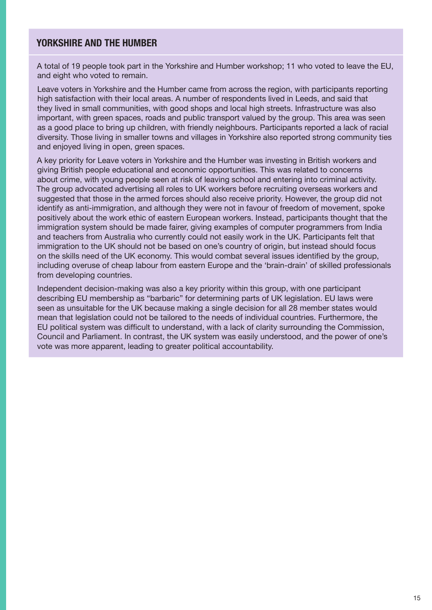### **YORKSHIRE AND THE HUMBER**

A total of 19 people took part in the Yorkshire and Humber workshop; 11 who voted to leave the EU, and eight who voted to remain.

Leave voters in Yorkshire and the Humber came from across the region, with participants reporting high satisfaction with their local areas. A number of respondents lived in Leeds, and said that they lived in small communities, with good shops and local high streets. Infrastructure was also important, with green spaces, roads and public transport valued by the group. This area was seen as a good place to bring up children, with friendly neighbours. Participants reported a lack of racial diversity. Those living in smaller towns and villages in Yorkshire also reported strong community ties and enjoyed living in open, green spaces.

A key priority for Leave voters in Yorkshire and the Humber was investing in British workers and giving British people educational and economic opportunities. This was related to concerns about crime, with young people seen at risk of leaving school and entering into criminal activity. The group advocated advertising all roles to UK workers before recruiting overseas workers and suggested that those in the armed forces should also receive priority. However, the group did not identify as anti-immigration, and although they were not in favour of freedom of movement, spoke positively about the work ethic of eastern European workers. Instead, participants thought that the immigration system should be made fairer, giving examples of computer programmers from India and teachers from Australia who currently could not easily work in the UK. Participants felt that immigration to the UK should not be based on one's country of origin, but instead should focus on the skills need of the UK economy. This would combat several issues identified by the group, including overuse of cheap labour from eastern Europe and the 'brain-drain' of skilled professionals from developing countries.

Independent decision-making was also a key priority within this group, with one participant describing EU membership as "barbaric" for determining parts of UK legislation. EU laws were seen as unsuitable for the UK because making a single decision for all 28 member states would mean that legislation could not be tailored to the needs of individual countries. Furthermore, the EU political system was difficult to understand, with a lack of clarity surrounding the Commission, Council and Parliament. In contrast, the UK system was easily understood, and the power of one's vote was more apparent, leading to greater political accountability.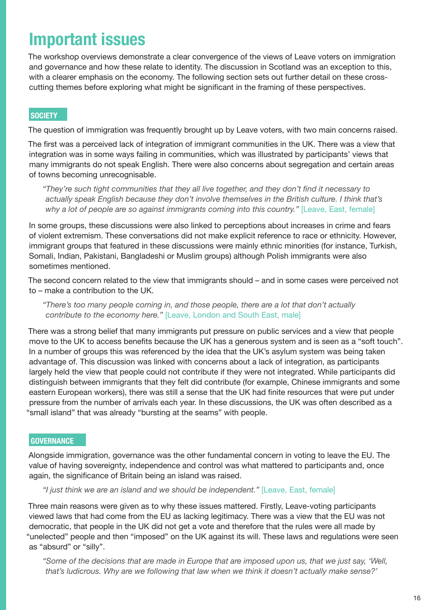### **Important issues**

The workshop overviews demonstrate a clear convergence of the views of Leave voters on immigration and governance and how these relate to identity. The discussion in Scotland was an exception to this, with a clearer emphasis on the economy. The following section sets out further detail on these crosscutting themes before exploring what might be significant in the framing of these perspectives.

### **SOCIETY**

The question of immigration was frequently brought up by Leave voters, with two main concerns raised.

The first was a perceived lack of integration of immigrant communities in the UK. There was a view that integration was in some ways failing in communities, which was illustrated by participants' views that many immigrants do not speak English. There were also concerns about segregation and certain areas of towns becoming unrecognisable.

*"They're such tight communities that they all live together, and they don't find it necessary to actually speak English because they don't involve themselves in the British culture. I think that's why a lot of people are so against immigrants coming into this country."* [Leave, East, female]

In some groups, these discussions were also linked to perceptions about increases in crime and fears of violent extremism. These conversations did not make explicit reference to race or ethnicity. However, immigrant groups that featured in these discussions were mainly ethnic minorities (for instance, Turkish, Somali, Indian, Pakistani, Bangladeshi or Muslim groups) although Polish immigrants were also sometimes mentioned.

The second concern related to the view that immigrants should – and in some cases were perceived not to – make a contribution to the UK.

*"There's too many people coming in, and those people, there are a lot that don't actually contribute to the economy here."* [Leave, London and South East, male]

There was a strong belief that many immigrants put pressure on public services and a view that people move to the UK to access benefits because the UK has a generous system and is seen as a "soft touch". In a number of groups this was referenced by the idea that the UK's asylum system was being taken advantage of. This discussion was linked with concerns about a lack of integration, as participants largely held the view that people could not contribute if they were not integrated. While participants did distinguish between immigrants that they felt did contribute (for example, Chinese immigrants and some eastern European workers), there was still a sense that the UK had finite resources that were put under pressure from the number of arrivals each year. In these discussions, the UK was often described as a "small island" that was already "bursting at the seams" with people.

### **GOVERNANCE**

Alongside immigration, governance was the other fundamental concern in voting to leave the EU. The value of having sovereignty, independence and control was what mattered to participants and, once again, the significance of Britain being an island was raised.

*"I just think we are an island and we should be independent."* [Leave, East, female]

Three main reasons were given as to why these issues mattered. Firstly, Leave-voting participants viewed laws that had come from the EU as lacking legitimacy. There was a view that the EU was not democratic, that people in the UK did not get a vote and therefore that the rules were all made by "unelected" people and then "imposed" on the UK against its will. These laws and regulations were seen as "absurd" or "silly".

*"Some of the decisions that are made in Europe that are imposed upon us, that we just say, 'Well, that's ludicrous. Why are we following that law when we think it doesn't actually make sense?'*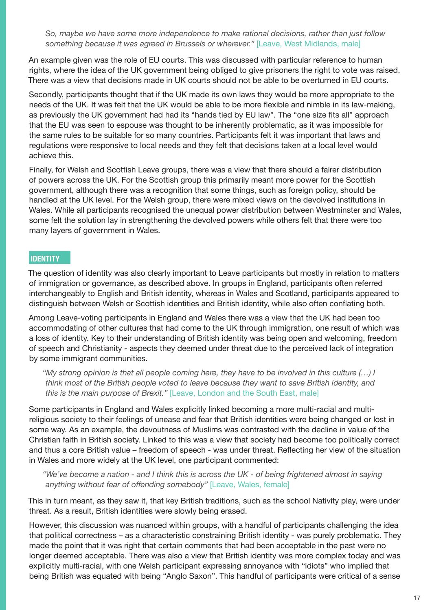*So, maybe we have some more independence to make rational decisions, rather than just follow something because it was agreed in Brussels or wherever."* [Leave, West Midlands, male]

An example given was the role of EU courts. This was discussed with particular reference to human rights, where the idea of the UK government being obliged to give prisoners the right to vote was raised. There was a view that decisions made in UK courts should not be able to be overturned in EU courts.

Secondly, participants thought that if the UK made its own laws they would be more appropriate to the needs of the UK. It was felt that the UK would be able to be more flexible and nimble in its law-making, as previously the UK government had had its "hands tied by EU law". The "one size fits all" approach that the EU was seen to espouse was thought to be inherently problematic, as it was impossible for the same rules to be suitable for so many countries. Participants felt it was important that laws and regulations were responsive to local needs and they felt that decisions taken at a local level would achieve this.

Finally, for Welsh and Scottish Leave groups, there was a view that there should a fairer distribution of powers across the UK. For the Scottish group this primarily meant more power for the Scottish government, although there was a recognition that some things, such as foreign policy, should be handled at the UK level. For the Welsh group, there were mixed views on the devolved institutions in Wales. While all participants recognised the unequal power distribution between Westminster and Wales, some felt the solution lay in strengthening the devolved powers while others felt that there were too many layers of government in Wales.

### **IDENTITY**

The question of identity was also clearly important to Leave participants but mostly in relation to matters of immigration or governance, as described above. In groups in England, participants often referred interchangeably to English and British identity, whereas in Wales and Scotland, participants appeared to distinguish between Welsh or Scottish identities and British identity, while also often conflating both.

Among Leave-voting participants in England and Wales there was a view that the UK had been too accommodating of other cultures that had come to the UK through immigration, one result of which was a loss of identity. Key to their understanding of British identity was being open and welcoming, freedom of speech and Christianity - aspects they deemed under threat due to the perceived lack of integration by some immigrant communities.

*"My strong opinion is that all people coming here, they have to be involved in this culture (…) I think most of the British people voted to leave because they want to save British identity, and this is the main purpose of Brexit."* [Leave, London and the South East, male]

Some participants in England and Wales explicitly linked becoming a more multi-racial and multireligious society to their feelings of unease and fear that British identities were being changed or lost in some way. As an example, the devoutness of Muslims was contrasted with the decline in value of the Christian faith in British society. Linked to this was a view that society had become too politically correct and thus a core British value – freedom of speech - was under threat. Reflecting her view of the situation in Wales and more widely at the UK level, one participant commented:

*"We've become a nation - and I think this is across the UK - of being frightened almost in saying anything without fear of offending somebody"* [Leave, Wales, female]

This in turn meant, as they saw it, that key British traditions, such as the school Nativity play, were under threat. As a result, British identities were slowly being erased.

However, this discussion was nuanced within groups, with a handful of participants challenging the idea that political correctness – as a characteristic constraining British identity - was purely problematic. They made the point that it was right that certain comments that had been acceptable in the past were no longer deemed acceptable. There was also a view that British identity was more complex today and was explicitly multi-racial, with one Welsh participant expressing annoyance with "idiots" who implied that being British was equated with being "Anglo Saxon". This handful of participants were critical of a sense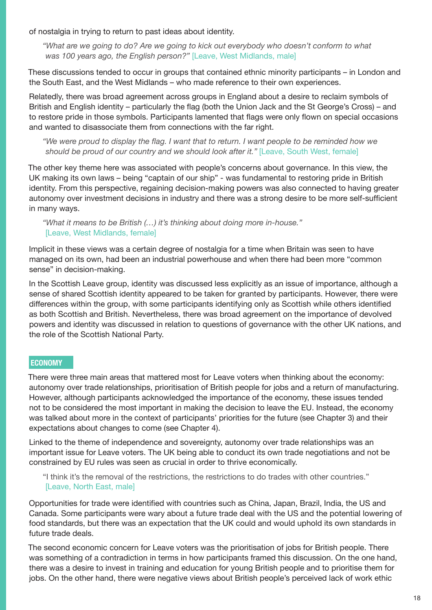of nostalgia in trying to return to past ideas about identity.

*"What are we going to do? Are we going to kick out everybody who doesn't conform to what was 100 years ago, the English person?"* [Leave, West Midlands, male]

These discussions tended to occur in groups that contained ethnic minority participants – in London and the South East, and the West Midlands – who made reference to their own experiences.

Relatedly, there was broad agreement across groups in England about a desire to reclaim symbols of British and English identity – particularly the flag (both the Union Jack and the St George's Cross) – and to restore pride in those symbols. Participants lamented that flags were only flown on special occasions and wanted to disassociate them from connections with the far right.

*"We were proud to display the flag. I want that to return. I want people to be reminded how we should be proud of our country and we should look after it."* [Leave, South West, female]

The other key theme here was associated with people's concerns about governance. In this view, the UK making its own laws – being "captain of our ship" - was fundamental to restoring pride in British identity. From this perspective, regaining decision-making powers was also connected to having greater autonomy over investment decisions in industry and there was a strong desire to be more self-sufficient in many ways.

*"What it means to be British (…) it's thinking about doing more in-house."* [Leave, West Midlands, female]

Implicit in these views was a certain degree of nostalgia for a time when Britain was seen to have managed on its own, had been an industrial powerhouse and when there had been more "common sense" in decision-making.

In the Scottish Leave group, identity was discussed less explicitly as an issue of importance, although a sense of shared Scottish identity appeared to be taken for granted by participants. However, there were differences within the group, with some participants identifying only as Scottish while others identified as both Scottish and British. Nevertheless, there was broad agreement on the importance of devolved powers and identity was discussed in relation to questions of governance with the other UK nations, and the role of the Scottish National Party.

### **ECONOMY**

There were three main areas that mattered most for Leave voters when thinking about the economy: autonomy over trade relationships, prioritisation of British people for jobs and a return of manufacturing. However, although participants acknowledged the importance of the economy, these issues tended not to be considered the most important in making the decision to leave the EU. Instead, the economy was talked about more in the context of participants' priorities for the future (see Chapter 3) and their expectations about changes to come (see Chapter 4).

Linked to the theme of independence and sovereignty, autonomy over trade relationships was an important issue for Leave voters. The UK being able to conduct its own trade negotiations and not be constrained by EU rules was seen as crucial in order to thrive economically.

"I think it's the removal of the restrictions, the restrictions to do trades with other countries." [Leave, North East, male]

Opportunities for trade were identified with countries such as China, Japan, Brazil, India, the US and Canada. Some participants were wary about a future trade deal with the US and the potential lowering of food standards, but there was an expectation that the UK could and would uphold its own standards in future trade deals.

The second economic concern for Leave voters was the prioritisation of jobs for British people. There was something of a contradiction in terms in how participants framed this discussion. On the one hand, there was a desire to invest in training and education for young British people and to prioritise them for jobs. On the other hand, there were negative views about British people's perceived lack of work ethic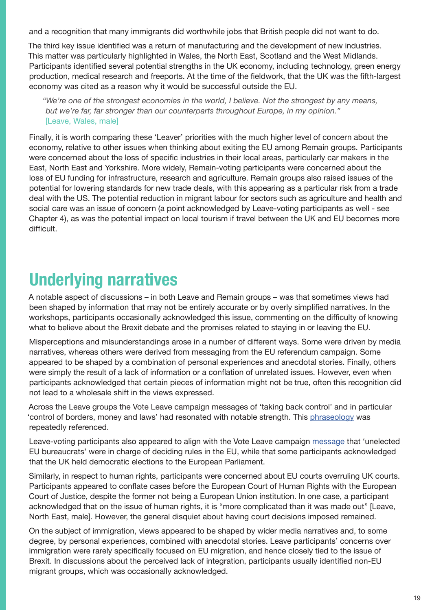and a recognition that many immigrants did worthwhile jobs that British people did not want to do.

The third key issue identified was a return of manufacturing and the development of new industries. This matter was particularly highlighted in Wales, the North East, Scotland and the West Midlands. Participants identified several potential strengths in the UK economy, including technology, green energy production, medical research and freeports. At the time of the fieldwork, that the UK was the fifth-largest economy was cited as a reason why it would be successful outside the EU.

*"We're one of the strongest economies in the world, I believe. Not the strongest by any means, but we're far, far stronger than our counterparts throughout Europe, in my opinion."*  [Leave, Wales, male]

Finally, it is worth comparing these 'Leaver' priorities with the much higher level of concern about the economy, relative to other issues when thinking about exiting the EU among Remain groups. Participants were concerned about the loss of specific industries in their local areas, particularly car makers in the East, North East and Yorkshire. More widely, Remain-voting participants were concerned about the loss of EU funding for infrastructure, research and agriculture. Remain groups also raised issues of the potential for lowering standards for new trade deals, with this appearing as a particular risk from a trade deal with the US. The potential reduction in migrant labour for sectors such as agriculture and health and social care was an issue of concern (a point acknowledged by Leave-voting participants as well - see Chapter 4), as was the potential impact on local tourism if travel between the UK and EU becomes more difficult.

### **Underlying narratives**

A notable aspect of discussions – in both Leave and Remain groups – was that sometimes views had been shaped by information that may not be entirely accurate or by overly simplified narratives. In the workshops, participants occasionally acknowledged this issue, commenting on the difficulty of knowing what to believe about the Brexit debate and the promises related to staying in or leaving the EU.

Misperceptions and misunderstandings arose in a number of different ways. Some were driven by media narratives, whereas others were derived from messaging from the EU referendum campaign. Some appeared to be shaped by a combination of personal experiences and anecdotal stories. Finally, others were simply the result of a lack of information or a conflation of unrelated issues. However, even when participants acknowledged that certain pieces of information might not be true, often this recognition did not lead to a wholesale shift in the views expressed.

Across the Leave groups the Vote Leave campaign messages of 'taking back control' and in particular 'control of borders, money and laws' had resonated with notable strength. This [phraseology](https://assets.publishing.service.gov.uk/government/uploads/system/uploads/attachment_data/file/759792/28_November_EU_Exit_-_Taking_back_control_of_our_borders__money_and_laws_while_protecting_our_economy__security_and_Union__1_.pdf) was repeatedly referenced.

Leave-voting participants also appeared to align with the Vote Leave campaign [message](http://www.voteleavetakecontrol.org/why_vote_leave.html) that 'unelected EU bureaucrats' were in charge of deciding rules in the EU, while that some participants acknowledged that the UK held democratic elections to the European Parliament.

Similarly, in respect to human rights, participants were concerned about EU courts overruling UK courts. Participants appeared to conflate cases before the European Court of Human Rights with the European Court of Justice, despite the former not being a European Union institution. In one case, a participant acknowledged that on the issue of human rights, it is "more complicated than it was made out" [Leave, North East, male]. However, the general disquiet about having court decisions imposed remained.

On the subject of immigration, views appeared to be shaped by wider media narratives and, to some degree, by personal experiences, combined with anecdotal stories. Leave participants' concerns over immigration were rarely specifically focused on EU migration, and hence closely tied to the issue of Brexit. In discussions about the perceived lack of integration, participants usually identified non-EU migrant groups, which was occasionally acknowledged.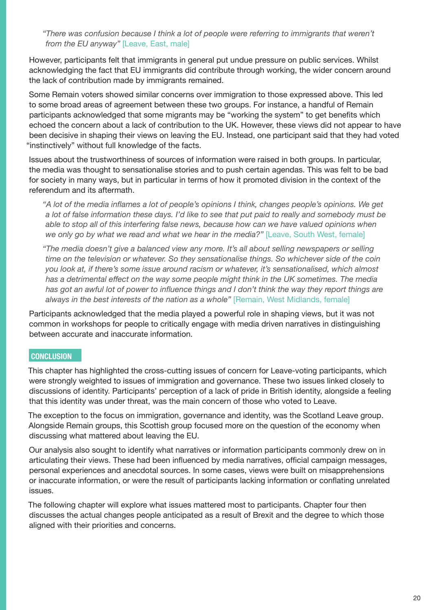### *"There was confusion because I think a lot of people were referring to immigrants that weren't from the EU anyway"* [Leave, East, male]

However, participants felt that immigrants in general put undue pressure on public services. Whilst acknowledging the fact that EU immigrants did contribute through working, the wider concern around the lack of contribution made by immigrants remained.

Some Remain voters showed similar concerns over immigration to those expressed above. This led to some broad areas of agreement between these two groups. For instance, a handful of Remain participants acknowledged that some migrants may be "working the system" to get benefits which echoed the concern about a lack of contribution to the UK. However, these views did not appear to have been decisive in shaping their views on leaving the EU. Instead, one participant said that they had voted "instinctively" without full knowledge of the facts.

Issues about the trustworthiness of sources of information were raised in both groups. In particular, the media was thought to sensationalise stories and to push certain agendas. This was felt to be bad for society in many ways, but in particular in terms of how it promoted division in the context of the referendum and its aftermath.

*"A lot of the media inflames a lot of people's opinions I think, changes people's opinions. We get a lot of false information these days. I'd like to see that put paid to really and somebody must be able to stop all of this interfering false news, because how can we have valued opinions when we only go by what we read and what we hear in the media?"* [Leave, South West, female]

*"The media doesn't give a balanced view any more. It's all about selling newspapers or selling time on the television or whatever. So they sensationalise things. So whichever side of the coin you look at, if there's some issue around racism or whatever, it's sensationalised, which almost has a detrimental effect on the way some people might think in the UK sometimes. The media has got an awful lot of power to influence things and I don't think the way they report things are always in the best interests of the nation as a whole"* [Remain, West Midlands, female]

Participants acknowledged that the media played a powerful role in shaping views, but it was not common in workshops for people to critically engage with media driven narratives in distinguishing between accurate and inaccurate information.

### **CONCLUSION**

This chapter has highlighted the cross-cutting issues of concern for Leave-voting participants, which were strongly weighted to issues of immigration and governance. These two issues linked closely to discussions of identity. Participants' perception of a lack of pride in British identity, alongside a feeling that this identity was under threat, was the main concern of those who voted to Leave.

The exception to the focus on immigration, governance and identity, was the Scotland Leave group. Alongside Remain groups, this Scottish group focused more on the question of the economy when discussing what mattered about leaving the EU.

Our analysis also sought to identify what narratives or information participants commonly drew on in articulating their views. These had been influenced by media narratives, official campaign messages, personal experiences and anecdotal sources. In some cases, views were built on misapprehensions or inaccurate information, or were the result of participants lacking information or conflating unrelated issues.

The following chapter will explore what issues mattered most to participants. Chapter four then discusses the actual changes people anticipated as a result of Brexit and the degree to which those aligned with their priorities and concerns.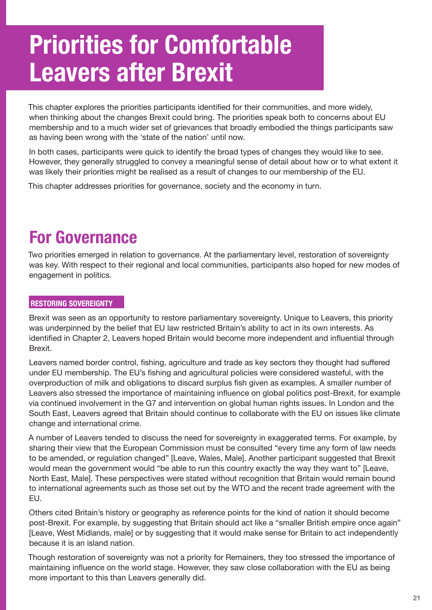## **Priorities for Comfortable Leavers after Brexit**

This chapter explores the priorities participants identified for their communities, and more widely, when thinking about the changes Brexit could bring. The priorities speak both to concerns about EU membership and to a much wider set of grievances that broadly embodied the things participants saw as having been wrong with the 'state of the nation' until now.

In both cases, participants were quick to identify the broad types of changes they would like to see. However, they generally struggled to convey a meaningful sense of detail about how or to what extent it was likely their priorities might be realised as a result of changes to our membership of the EU.

This chapter addresses priorities for governance, society and the economy in turn.

### **For Governance**

Two priorities emerged in relation to governance. At the parliamentary level, restoration of sovereignty was key. With respect to their regional and local communities, participants also hoped for new modes of engagement in politics.

### **RESTORING SOVEREIGNTY**

Brexit was seen as an opportunity to restore parliamentary sovereignty. Unique to Leavers, this priority was underpinned by the belief that EU law restricted Britain's ability to act in its own interests. As identified in Chapter 2, Leavers hoped Britain would become more independent and influential through Brexit.

Leavers named border control, fishing, agriculture and trade as key sectors they thought had suffered under EU membership. The EU's fishing and agricultural policies were considered wasteful, with the overproduction of milk and obligations to discard surplus fish given as examples. A smaller number of Leavers also stressed the importance of maintaining influence on global politics post-Brexit, for example via continued involvement in the G7 and intervention on global human rights issues. In London and the South East, Leavers agreed that Britain should continue to collaborate with the EU on issues like climate change and international crime.

A number of Leavers tended to discuss the need for sovereignty in exaggerated terms. For example, by sharing their view that the European Commission must be consulted "every time any form of law needs to be amended, or regulation changed" [Leave, Wales, Male]. Another participant suggested that Brexit would mean the government would "be able to run this country exactly the way they want to" [Leave, North East, Male]. These perspectives were stated without recognition that Britain would remain bound to international agreements such as those set out by the WTO and the recent trade agreement with the EU.

Others cited Britain's history or geography as reference points for the kind of nation it should become post-Brexit. For example, by suggesting that Britain should act like a "smaller British empire once again" [Leave, West Midlands, male] or by suggesting that it would make sense for Britain to act independently because it is an island nation.

Though restoration of sovereignty was not a priority for Remainers, they too stressed the importance of maintaining influence on the world stage. However, they saw close collaboration with the EU as being more important to this than Leavers generally did.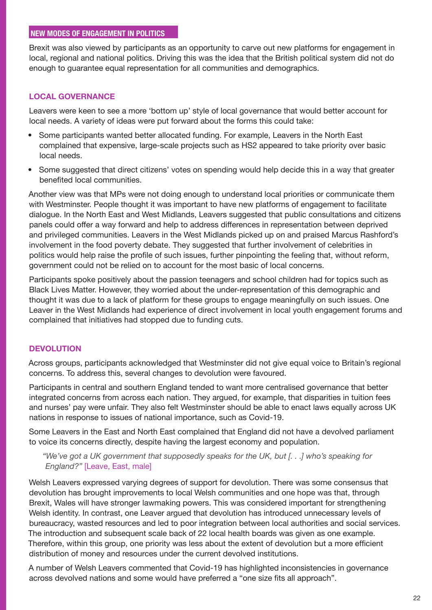Brexit was also viewed by participants as an opportunity to carve out new platforms for engagement in local, regional and national politics. Driving this was the idea that the British political system did not do enough to guarantee equal representation for all communities and demographics.

### **LOCAL GOVERNANCE**

Leavers were keen to see a more 'bottom up' style of local governance that would better account for local needs. A variety of ideas were put forward about the forms this could take:

- Some participants wanted better allocated funding. For example, Leavers in the North East complained that expensive, large-scale projects such as HS2 appeared to take priority over basic local needs.
- Some suggested that direct citizens' votes on spending would help decide this in a way that greater benefited local communities.

Another view was that MPs were not doing enough to understand local priorities or communicate them with Westminster. People thought it was important to have new platforms of engagement to facilitate dialogue. In the North East and West Midlands, Leavers suggested that public consultations and citizens panels could offer a way forward and help to address differences in representation between deprived and privileged communities. Leavers in the West Midlands picked up on and praised Marcus Rashford's involvement in the food poverty debate. They suggested that further involvement of celebrities in politics would help raise the profile of such issues, further pinpointing the feeling that, without reform, government could not be relied on to account for the most basic of local concerns.

Participants spoke positively about the passion teenagers and school children had for topics such as Black Lives Matter. However, they worried about the under-representation of this demographic and thought it was due to a lack of platform for these groups to engage meaningfully on such issues. One Leaver in the West Midlands had experience of direct involvement in local youth engagement forums and complained that initiatives had stopped due to funding cuts.

### **DEVOLUTION**

Across groups, participants acknowledged that Westminster did not give equal voice to Britain's regional concerns. To address this, several changes to devolution were favoured.

Participants in central and southern England tended to want more centralised governance that better integrated concerns from across each nation. They argued, for example, that disparities in tuition fees and nurses' pay were unfair. They also felt Westminster should be able to enact laws equally across UK nations in response to issues of national importance, such as Covid-19.

Some Leavers in the East and North East complained that England did not have a devolved parliament to voice its concerns directly, despite having the largest economy and population.

### *"We've got a UK government that supposedly speaks for the UK, but [. . .] who's speaking for England?"* [Leave, East, male]

Welsh Leavers expressed varying degrees of support for devolution. There was some consensus that devolution has brought improvements to local Welsh communities and one hope was that, through Brexit, Wales will have stronger lawmaking powers. This was considered important for strengthening Welsh identity. In contrast, one Leaver argued that devolution has introduced unnecessary levels of bureaucracy, wasted resources and led to poor integration between local authorities and social services. The introduction and subsequent scale back of 22 local health boards was given as one example. Therefore, within this group, one priority was less about the extent of devolution but a more efficient distribution of money and resources under the current devolved institutions.

A number of Welsh Leavers commented that Covid-19 has highlighted inconsistencies in governance across devolved nations and some would have preferred a "one size fits all approach".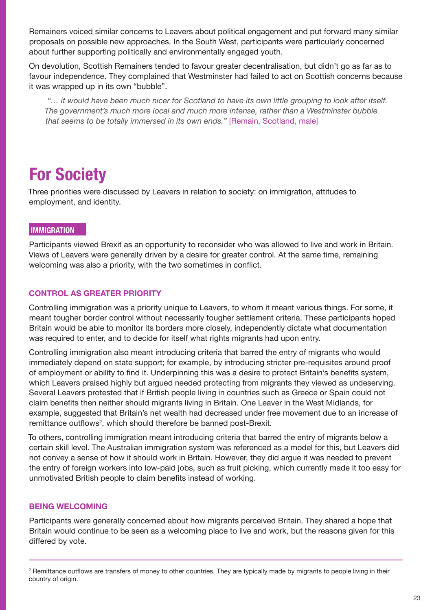Remainers voiced similar concerns to Leavers about political engagement and put forward many similar proposals on possible new approaches. In the South West, participants were particularly concerned about further supporting politically and environmentally engaged youth.

On devolution, Scottish Remainers tended to favour greater decentralisation, but didn't go as far as to favour independence. They complained that Westminster had failed to act on Scottish concerns because it was wrapped up in its own "bubble".

 *"… it would have been much nicer for Scotland to have its own little grouping to look after itself. The government's much more local and much more intense, rather than a Westminster bubble that seems to be totally immersed in its own ends."* [Remain, Scotland, male]

### **For Society**

Three priorities were discussed by Leavers in relation to society: on immigration, attitudes to employment, and identity.

### **IMMIGRATION**

Participants viewed Brexit as an opportunity to reconsider who was allowed to live and work in Britain. Views of Leavers were generally driven by a desire for greater control. At the same time, remaining welcoming was also a priority, with the two sometimes in conflict.

### **CONTROL AS GREATER PRIORITY**

Controlling immigration was a priority unique to Leavers, to whom it meant various things. For some, it meant tougher border control without necessarily tougher settlement criteria. These participants hoped Britain would be able to monitor its borders more closely, independently dictate what documentation was required to enter, and to decide for itself what rights migrants had upon entry.

Controlling immigration also meant introducing criteria that barred the entry of migrants who would immediately depend on state support; for example, by introducing stricter pre-requisites around proof of employment or ability to find it. Underpinning this was a desire to protect Britain's benefits system, which Leavers praised highly but argued needed protecting from migrants they viewed as undeserving. Several Leavers protested that if British people living in countries such as Greece or Spain could not claim benefits then neither should migrants living in Britain. One Leaver in the West Midlands, for example, suggested that Britain's net wealth had decreased under free movement due to an increase of remittance outflows<sup>2</sup>, which should therefore be banned post-Brexit.

To others, controlling immigration meant introducing criteria that barred the entry of migrants below a certain skill level. The Australian immigration system was referenced as a model for this, but Leavers did not convey a sense of how it should work in Britain. However, they did argue it was needed to prevent the entry of foreign workers into low-paid jobs, such as fruit picking, which currently made it too easy for unmotivated British people to claim benefits instead of working.

### **BEING WELCOMING**

Participants were generally concerned about how migrants perceived Britain. They shared a hope that Britain would continue to be seen as a welcoming place to live and work, but the reasons given for this differed by vote.

<sup>&</sup>lt;sup>2</sup> Remittance outflows are transfers of money to other countries. They are typically made by migrants to people living in their country of origin.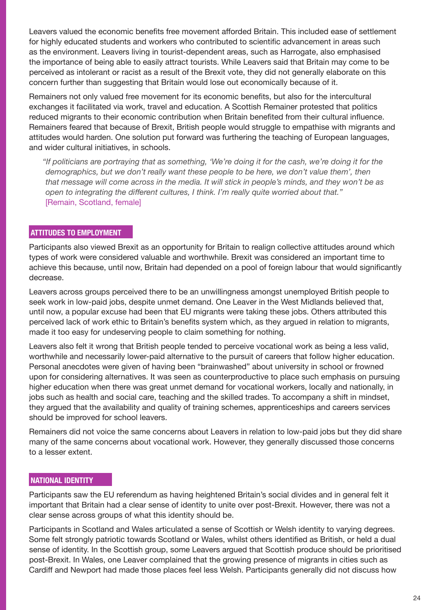Leavers valued the economic benefits free movement afforded Britain. This included ease of settlement for highly educated students and workers who contributed to scientific advancement in areas such as the environment. Leavers living in tourist-dependent areas, such as Harrogate, also emphasised the importance of being able to easily attract tourists. While Leavers said that Britain may come to be perceived as intolerant or racist as a result of the Brexit vote, they did not generally elaborate on this concern further than suggesting that Britain would lose out economically because of it.

Remainers not only valued free movement for its economic benefits, but also for the intercultural exchanges it facilitated via work, travel and education. A Scottish Remainer protested that politics reduced migrants to their economic contribution when Britain benefited from their cultural influence. Remainers feared that because of Brexit, British people would struggle to empathise with migrants and attitudes would harden. One solution put forward was furthering the teaching of European languages, and wider cultural initiatives, in schools.

*"If politicians are portraying that as something, 'We're doing it for the cash, we're doing it for the demographics, but we don't really want these people to be here, we don't value them', then that message will come across in the media. It will stick in people's minds, and they won't be as open to integrating the different cultures, I think. I'm really quite worried about that."*  [Remain, Scotland, female]

### **ATTITUDES TO EMPLOYMENT**

Participants also viewed Brexit as an opportunity for Britain to realign collective attitudes around which types of work were considered valuable and worthwhile. Brexit was considered an important time to achieve this because, until now, Britain had depended on a pool of foreign labour that would significantly decrease.

Leavers across groups perceived there to be an unwillingness amongst unemployed British people to seek work in low-paid jobs, despite unmet demand. One Leaver in the West Midlands believed that, until now, a popular excuse had been that EU migrants were taking these jobs. Others attributed this perceived lack of work ethic to Britain's benefits system which, as they argued in relation to migrants, made it too easy for undeserving people to claim something for nothing.

Leavers also felt it wrong that British people tended to perceive vocational work as being a less valid, worthwhile and necessarily lower-paid alternative to the pursuit of careers that follow higher education. Personal anecdotes were given of having been "brainwashed" about university in school or frowned upon for considering alternatives. It was seen as counterproductive to place such emphasis on pursuing higher education when there was great unmet demand for vocational workers, locally and nationally, in jobs such as health and social care, teaching and the skilled trades. To accompany a shift in mindset, they argued that the availability and quality of training schemes, apprenticeships and careers services should be improved for school leavers.

Remainers did not voice the same concerns about Leavers in relation to low-paid jobs but they did share many of the same concerns about vocational work. However, they generally discussed those concerns to a lesser extent.

### **NATIONAL IDENTITY**

Participants saw the EU referendum as having heightened Britain's social divides and in general felt it important that Britain had a clear sense of identity to unite over post-Brexit. However, there was not a clear sense across groups of what this identity should be.

Participants in Scotland and Wales articulated a sense of Scottish or Welsh identity to varying degrees. Some felt strongly patriotic towards Scotland or Wales, whilst others identified as British, or held a dual sense of identity. In the Scottish group, some Leavers argued that Scottish produce should be prioritised post-Brexit. In Wales, one Leaver complained that the growing presence of migrants in cities such as Cardiff and Newport had made those places feel less Welsh. Participants generally did not discuss how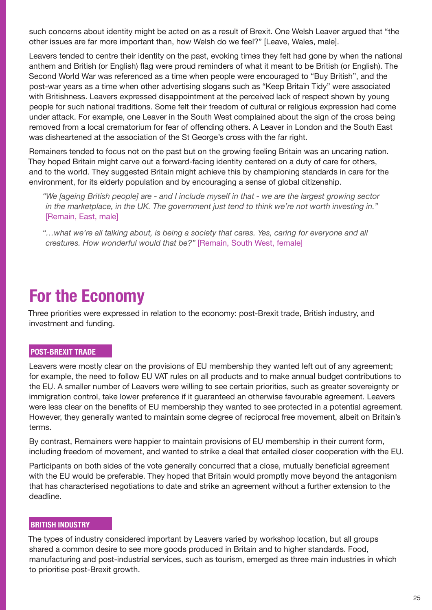such concerns about identity might be acted on as a result of Brexit. One Welsh Leaver argued that "the other issues are far more important than, how Welsh do we feel?" [Leave, Wales, male].

Leavers tended to centre their identity on the past, evoking times they felt had gone by when the national anthem and British (or English) flag were proud reminders of what it meant to be British (or English). The Second World War was referenced as a time when people were encouraged to "Buy British", and the post-war years as a time when other advertising slogans such as "Keep Britain Tidy" were associated with Britishness. Leavers expressed disappointment at the perceived lack of respect shown by young people for such national traditions. Some felt their freedom of cultural or religious expression had come under attack. For example, one Leaver in the South West complained about the sign of the cross being removed from a local crematorium for fear of offending others. A Leaver in London and the South East was disheartened at the association of the St George's cross with the far right.

Remainers tended to focus not on the past but on the growing feeling Britain was an uncaring nation. They hoped Britain might carve out a forward-facing identity centered on a duty of care for others, and to the world. They suggested Britain might achieve this by championing standards in care for the environment, for its elderly population and by encouraging a sense of global citizenship.

*"We [ageing British people] are - and I include myself in that - we are the largest growing sector in the marketplace, in the UK. The government just tend to think we're not worth investing in."*  [Remain, East, male]

*"…what we're all talking about, is being a society that cares. Yes, caring for everyone and all creatures. How wonderful would that be?"* [Remain, South West, female]

### **For the Economy**

Three priorities were expressed in relation to the economy: post-Brexit trade, British industry, and investment and funding.

### **POST-BREXIT TRADE**

Leavers were mostly clear on the provisions of EU membership they wanted left out of any agreement; for example, the need to follow EU VAT rules on all products and to make annual budget contributions to the EU. A smaller number of Leavers were willing to see certain priorities, such as greater sovereignty or immigration control, take lower preference if it guaranteed an otherwise favourable agreement. Leavers were less clear on the benefits of EU membership they wanted to see protected in a potential agreement. However, they generally wanted to maintain some degree of reciprocal free movement, albeit on Britain's terms.

By contrast, Remainers were happier to maintain provisions of EU membership in their current form, including freedom of movement, and wanted to strike a deal that entailed closer cooperation with the EU.

Participants on both sides of the vote generally concurred that a close, mutually beneficial agreement with the EU would be preferable. They hoped that Britain would promptly move beyond the antagonism that has characterised negotiations to date and strike an agreement without a further extension to the deadline.

### **BRITISH INDUSTRY**

The types of industry considered important by Leavers varied by workshop location, but all groups shared a common desire to see more goods produced in Britain and to higher standards. Food, manufacturing and post-industrial services, such as tourism, emerged as three main industries in which to prioritise post-Brexit growth.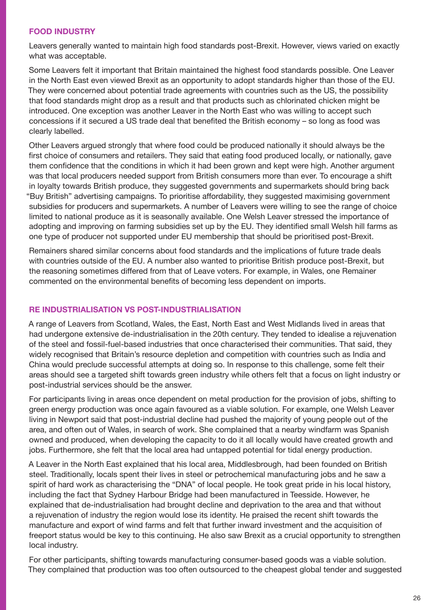### **FOOD INDUSTRY**

Leavers generally wanted to maintain high food standards post-Brexit. However, views varied on exactly what was acceptable.

Some Leavers felt it important that Britain maintained the highest food standards possible. One Leaver in the North East even viewed Brexit as an opportunity to adopt standards higher than those of the EU. They were concerned about potential trade agreements with countries such as the US, the possibility that food standards might drop as a result and that products such as chlorinated chicken might be introduced. One exception was another Leaver in the North East who was willing to accept such concessions if it secured a US trade deal that benefited the British economy – so long as food was clearly labelled.

Other Leavers argued strongly that where food could be produced nationally it should always be the first choice of consumers and retailers. They said that eating food produced locally, or nationally, gave them confidence that the conditions in which it had been grown and kept were high. Another argument was that local producers needed support from British consumers more than ever. To encourage a shift in loyalty towards British produce, they suggested governments and supermarkets should bring back "Buy British" advertising campaigns. To prioritise affordability, they suggested maximising government subsidies for producers and supermarkets. A number of Leavers were willing to see the range of choice limited to national produce as it is seasonally available. One Welsh Leaver stressed the importance of adopting and improving on farming subsidies set up by the EU. They identified small Welsh hill farms as one type of producer not supported under EU membership that should be prioritised post-Brexit.

Remainers shared similar concerns about food standards and the implications of future trade deals with countries outside of the EU. A number also wanted to prioritise British produce post-Brexit, but the reasoning sometimes differed from that of Leave voters. For example, in Wales, one Remainer commented on the environmental benefits of becoming less dependent on imports.

### **RE INDUSTRIALISATION VS POST-INDUSTRIALISATION**

A range of Leavers from Scotland, Wales, the East, North East and West Midlands lived in areas that had undergone extensive de-industrialisation in the 20th century. They tended to idealise a rejuvenation of the steel and fossil-fuel-based industries that once characterised their communities. That said, they widely recognised that Britain's resource depletion and competition with countries such as India and China would preclude successful attempts at doing so. In response to this challenge, some felt their areas should see a targeted shift towards green industry while others felt that a focus on light industry or post-industrial services should be the answer.

For participants living in areas once dependent on metal production for the provision of jobs, shifting to green energy production was once again favoured as a viable solution. For example, one Welsh Leaver living in Newport said that post-industrial decline had pushed the majority of young people out of the area, and often out of Wales, in search of work. She complained that a nearby windfarm was Spanish owned and produced, when developing the capacity to do it all locally would have created growth and jobs. Furthermore, she felt that the local area had untapped potential for tidal energy production.

A Leaver in the North East explained that his local area, Middlesbrough, had been founded on British steel. Traditionally, locals spent their lives in steel or petrochemical manufacturing jobs and he saw a spirit of hard work as characterising the "DNA" of local people. He took great pride in his local history, including the fact that Sydney Harbour Bridge had been manufactured in Teesside. However, he explained that de-industrialisation had brought decline and deprivation to the area and that without a rejuvenation of industry the region would lose its identity. He praised the recent shift towards the manufacture and export of wind farms and felt that further inward investment and the acquisition of freeport status would be key to this continuing. He also saw Brexit as a crucial opportunity to strengthen local industry.

For other participants, shifting towards manufacturing consumer-based goods was a viable solution. They complained that production was too often outsourced to the cheapest global tender and suggested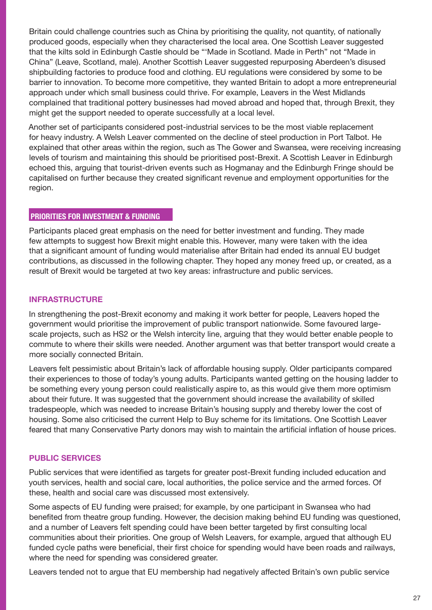Britain could challenge countries such as China by prioritising the quality, not quantity, of nationally produced goods, especially when they characterised the local area. One Scottish Leaver suggested that the kilts sold in Edinburgh Castle should be "'Made in Scotland. Made in Perth" not "Made in China" (Leave, Scotland, male). Another Scottish Leaver suggested repurposing Aberdeen's disused shipbuilding factories to produce food and clothing. EU regulations were considered by some to be barrier to innovation. To become more competitive, they wanted Britain to adopt a more entrepreneurial approach under which small business could thrive. For example, Leavers in the West Midlands complained that traditional pottery businesses had moved abroad and hoped that, through Brexit, they might get the support needed to operate successfully at a local level.

Another set of participants considered post-industrial services to be the most viable replacement for heavy industry. A Welsh Leaver commented on the decline of steel production in Port Talbot. He explained that other areas within the region, such as The Gower and Swansea, were receiving increasing levels of tourism and maintaining this should be prioritised post-Brexit. A Scottish Leaver in Edinburgh echoed this, arguing that tourist-driven events such as Hogmanay and the Edinburgh Fringe should be capitalised on further because they created significant revenue and employment opportunities for the region.

### **PRIORITIES FOR INVESTMENT & FUNDING**

Participants placed great emphasis on the need for better investment and funding. They made few attempts to suggest how Brexit might enable this. However, many were taken with the idea that a significant amount of funding would materialise after Britain had ended its annual EU budget contributions, as discussed in the following chapter. They hoped any money freed up, or created, as a result of Brexit would be targeted at two key areas: infrastructure and public services.

### **INFRASTRUCTURE**

In strengthening the post-Brexit economy and making it work better for people, Leavers hoped the government would prioritise the improvement of public transport nationwide. Some favoured largescale projects, such as HS2 or the Welsh intercity line, arguing that they would better enable people to commute to where their skills were needed. Another argument was that better transport would create a more socially connected Britain.

Leavers felt pessimistic about Britain's lack of affordable housing supply. Older participants compared their experiences to those of today's young adults. Participants wanted getting on the housing ladder to be something every young person could realistically aspire to, as this would give them more optimism about their future. It was suggested that the government should increase the availability of skilled tradespeople, which was needed to increase Britain's housing supply and thereby lower the cost of housing. Some also criticised the current Help to Buy scheme for its limitations. One Scottish Leaver feared that many Conservative Party donors may wish to maintain the artificial inflation of house prices.

### **PUBLIC SERVICES**

Public services that were identified as targets for greater post-Brexit funding included education and youth services, health and social care, local authorities, the police service and the armed forces. Of these, health and social care was discussed most extensively.

Some aspects of EU funding were praised; for example, by one participant in Swansea who had benefited from theatre group funding. However, the decision making behind EU funding was questioned, and a number of Leavers felt spending could have been better targeted by first consulting local communities about their priorities. One group of Welsh Leavers, for example, argued that although EU funded cycle paths were beneficial, their first choice for spending would have been roads and railways, where the need for spending was considered greater.

Leavers tended not to argue that EU membership had negatively affected Britain's own public service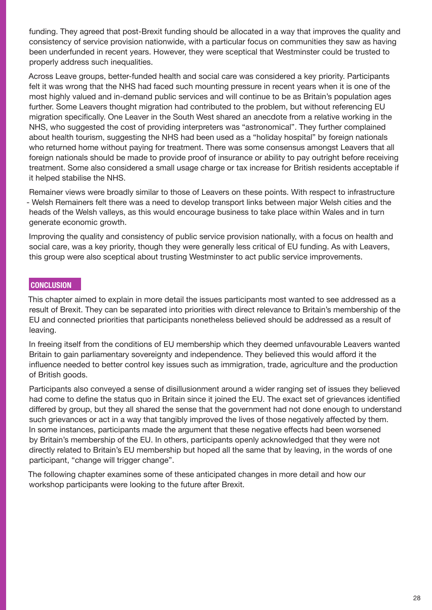funding. They agreed that post-Brexit funding should be allocated in a way that improves the quality and consistency of service provision nationwide, with a particular focus on communities they saw as having been underfunded in recent years. However, they were sceptical that Westminster could be trusted to properly address such inequalities.

Across Leave groups, better-funded health and social care was considered a key priority. Participants felt it was wrong that the NHS had faced such mounting pressure in recent years when it is one of the most highly valued and in-demand public services and will continue to be as Britain's population ages further. Some Leavers thought migration had contributed to the problem, but without referencing EU migration specifically. One Leaver in the South West shared an anecdote from a relative working in the NHS, who suggested the cost of providing interpreters was "astronomical". They further complained about health tourism, suggesting the NHS had been used as a "holiday hospital" by foreign nationals who returned home without paying for treatment. There was some consensus amongst Leavers that all foreign nationals should be made to provide proof of insurance or ability to pay outright before receiving treatment. Some also considered a small usage charge or tax increase for British residents acceptable if it helped stabilise the NHS.

Remainer views were broadly similar to those of Leavers on these points. With respect to infrastructure - Welsh Remainers felt there was a need to develop transport links between major Welsh cities and the heads of the Welsh valleys, as this would encourage business to take place within Wales and in turn generate economic growth.

Improving the quality and consistency of public service provision nationally, with a focus on health and social care, was a key priority, though they were generally less critical of EU funding. As with Leavers, this group were also sceptical about trusting Westminster to act public service improvements.

### **CONCLUSION**

This chapter aimed to explain in more detail the issues participants most wanted to see addressed as a result of Brexit. They can be separated into priorities with direct relevance to Britain's membership of the EU and connected priorities that participants nonetheless believed should be addressed as a result of leaving.

In freeing itself from the conditions of EU membership which they deemed unfavourable Leavers wanted Britain to gain parliamentary sovereignty and independence. They believed this would afford it the influence needed to better control key issues such as immigration, trade, agriculture and the production of British goods.

Participants also conveyed a sense of disillusionment around a wider ranging set of issues they believed had come to define the status quo in Britain since it joined the EU. The exact set of grievances identified differed by group, but they all shared the sense that the government had not done enough to understand such grievances or act in a way that tangibly improved the lives of those negatively affected by them. In some instances, participants made the argument that these negative effects had been worsened by Britain's membership of the EU. In others, participants openly acknowledged that they were not directly related to Britain's EU membership but hoped all the same that by leaving, in the words of one participant, "change will trigger change".

The following chapter examines some of these anticipated changes in more detail and how our workshop participants were looking to the future after Brexit.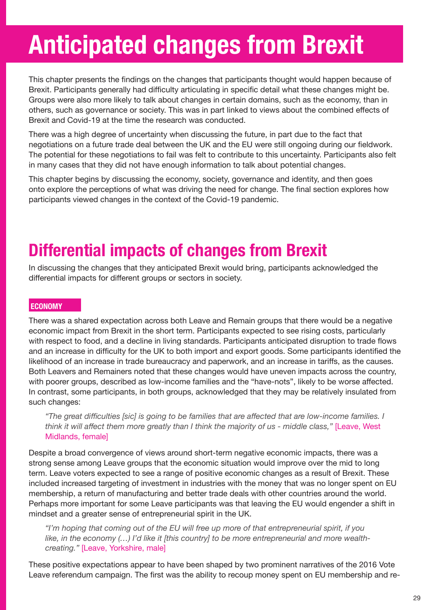## **Anticipated changes from Brexit**

This chapter presents the findings on the changes that participants thought would happen because of Brexit. Participants generally had difficulty articulating in specific detail what these changes might be. Groups were also more likely to talk about changes in certain domains, such as the economy, than in others, such as governance or society. This was in part linked to views about the combined effects of Brexit and Covid-19 at the time the research was conducted.

There was a high degree of uncertainty when discussing the future, in part due to the fact that negotiations on a future trade deal between the UK and the EU were still ongoing during our fieldwork. The potential for these negotiations to fail was felt to contribute to this uncertainty. Participants also felt in many cases that they did not have enough information to talk about potential changes.

This chapter begins by discussing the economy, society, governance and identity, and then goes onto explore the perceptions of what was driving the need for change. The final section explores how participants viewed changes in the context of the Covid-19 pandemic.

### **Differential impacts of changes from Brexit**

In discussing the changes that they anticipated Brexit would bring, participants acknowledged the differential impacts for different groups or sectors in society.

### **ECONOMY**

There was a shared expectation across both Leave and Remain groups that there would be a negative economic impact from Brexit in the short term. Participants expected to see rising costs, particularly with respect to food, and a decline in living standards. Participants anticipated disruption to trade flows and an increase in difficulty for the UK to both import and export goods. Some participants identified the likelihood of an increase in trade bureaucracy and paperwork, and an increase in tariffs, as the causes. Both Leavers and Remainers noted that these changes would have uneven impacts across the country, with poorer groups, described as low-income families and the "have-nots", likely to be worse affected. In contrast, some participants, in both groups, acknowledged that they may be relatively insulated from such changes:

*"The great difficulties [sic] is going to be families that are affected that are low-income families. I think it will affect them more greatly than I think the majority of us - middle class,"* [Leave, West Midlands, female]

Despite a broad convergence of views around short-term negative economic impacts, there was a strong sense among Leave groups that the economic situation would improve over the mid to long term. Leave voters expected to see a range of positive economic changes as a result of Brexit. These included increased targeting of investment in industries with the money that was no longer spent on EU membership, a return of manufacturing and better trade deals with other countries around the world. Perhaps more important for some Leave participants was that leaving the EU would engender a shift in mindset and a greater sense of entrepreneurial spirit in the UK.

*"I'm hoping that coming out of the EU will free up more of that entrepreneurial spirit, if you like, in the economy (…) I'd like it [this country] to be more entrepreneurial and more wealthcreating."* [Leave, Yorkshire, male]

These positive expectations appear to have been shaped by two prominent narratives of the 2016 Vote Leave referendum campaign. The first was the ability to recoup money spent on EU membership and re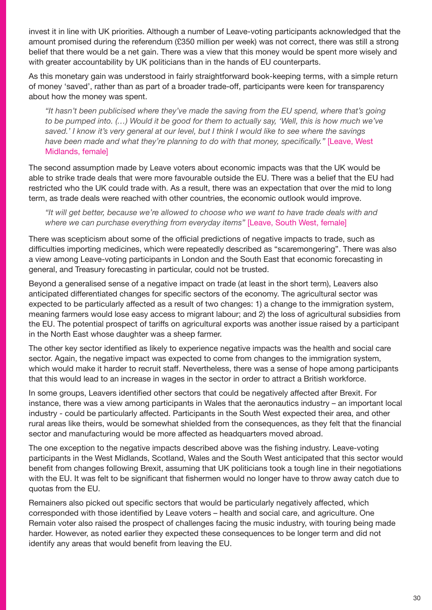invest it in line with UK priorities. Although a number of Leave-voting participants acknowledged that the amount promised during the referendum (£350 million per week) was not correct, there was still a strong belief that there would be a net gain. There was a view that this money would be spent more wisely and with greater accountability by UK politicians than in the hands of EU counterparts.

As this monetary gain was understood in fairly straightforward book-keeping terms, with a simple return of money 'saved', rather than as part of a broader trade-off, participants were keen for transparency about how the money was spent.

*"It hasn't been publicised where they've made the saving from the EU spend, where that's going to be pumped into. (…) Would it be good for them to actually say, 'Well, this is how much we've saved.' I know it's very general at our level, but I think I would like to see where the savings have been made and what they're planning to do with that money, specifically."* [Leave, West Midlands, female]

The second assumption made by Leave voters about economic impacts was that the UK would be able to strike trade deals that were more favourable outside the EU. There was a belief that the EU had restricted who the UK could trade with. As a result, there was an expectation that over the mid to long term, as trade deals were reached with other countries, the economic outlook would improve.

*"It will get better, because we're allowed to choose who we want to have trade deals with and where we can purchase everything from everyday items"* [Leave, South West, female]

There was scepticism about some of the official predictions of negative impacts to trade, such as difficulties importing medicines, which were repeatedly described as "scaremongering". There was also a view among Leave-voting participants in London and the South East that economic forecasting in general, and Treasury forecasting in particular, could not be trusted.

Beyond a generalised sense of a negative impact on trade (at least in the short term), Leavers also anticipated differentiated changes for specific sectors of the economy. The agricultural sector was expected to be particularly affected as a result of two changes: 1) a change to the immigration system, meaning farmers would lose easy access to migrant labour; and 2) the loss of agricultural subsidies from the EU. The potential prospect of tariffs on agricultural exports was another issue raised by a participant in the North East whose daughter was a sheep farmer.

The other key sector identified as likely to experience negative impacts was the health and social care sector. Again, the negative impact was expected to come from changes to the immigration system, which would make it harder to recruit staff. Nevertheless, there was a sense of hope among participants that this would lead to an increase in wages in the sector in order to attract a British workforce.

In some groups, Leavers identified other sectors that could be negatively affected after Brexit. For instance, there was a view among participants in Wales that the aeronautics industry – an important local industry - could be particularly affected. Participants in the South West expected their area, and other rural areas like theirs, would be somewhat shielded from the consequences, as they felt that the financial sector and manufacturing would be more affected as headquarters moved abroad.

The one exception to the negative impacts described above was the fishing industry. Leave-voting participants in the West Midlands, Scotland, Wales and the South West anticipated that this sector would benefit from changes following Brexit, assuming that UK politicians took a tough line in their negotiations with the EU. It was felt to be significant that fishermen would no longer have to throw away catch due to quotas from the EU.

Remainers also picked out specific sectors that would be particularly negatively affected, which corresponded with those identified by Leave voters – health and social care, and agriculture. One Remain voter also raised the prospect of challenges facing the music industry, with touring being made harder. However, as noted earlier they expected these consequences to be longer term and did not identify any areas that would benefit from leaving the EU.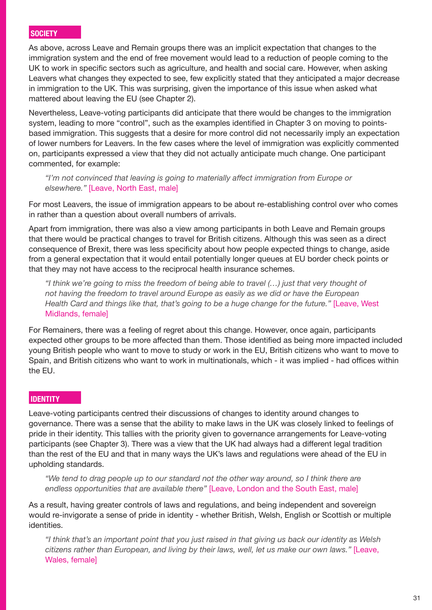### **SOCIETY**

As above, across Leave and Remain groups there was an implicit expectation that changes to the immigration system and the end of free movement would lead to a reduction of people coming to the UK to work in specific sectors such as agriculture, and health and social care. However, when asking Leavers what changes they expected to see, few explicitly stated that they anticipated a major decrease in immigration to the UK. This was surprising, given the importance of this issue when asked what mattered about leaving the EU (see Chapter 2).

Nevertheless, Leave-voting participants did anticipate that there would be changes to the immigration system, leading to more "control", such as the examples identified in Chapter 3 on moving to pointsbased immigration. This suggests that a desire for more control did not necessarily imply an expectation of lower numbers for Leavers. In the few cases where the level of immigration was explicitly commented on, participants expressed a view that they did not actually anticipate much change. One participant commented, for example:

*"I'm not convinced that leaving is going to materially affect immigration from Europe or elsewhere."* [Leave, North East, male]

For most Leavers, the issue of immigration appears to be about re-establishing control over who comes in rather than a question about overall numbers of arrivals.

Apart from immigration, there was also a view among participants in both Leave and Remain groups that there would be practical changes to travel for British citizens. Although this was seen as a direct consequence of Brexit, there was less specificity about how people expected things to change, aside from a general expectation that it would entail potentially longer queues at EU border check points or that they may not have access to the reciprocal health insurance schemes.

*"I think we're going to miss the freedom of being able to travel (…) just that very thought of not having the freedom to travel around Europe as easily as we did or have the European Health Card and things like that, that's going to be a huge change for the future."* [Leave, West Midlands, female]

For Remainers, there was a feeling of regret about this change. However, once again, participants expected other groups to be more affected than them. Those identified as being more impacted included young British people who want to move to study or work in the EU, British citizens who want to move to Spain, and British citizens who want to work in multinationals, which - it was implied - had offices within the EU.

### **IDENTITY**

Leave-voting participants centred their discussions of changes to identity around changes to governance. There was a sense that the ability to make laws in the UK was closely linked to feelings of pride in their identity. This tallies with the priority given to governance arrangements for Leave-voting participants (see Chapter 3). There was a view that the UK had always had a different legal tradition than the rest of the EU and that in many ways the UK's laws and regulations were ahead of the EU in upholding standards.

*"We tend to drag people up to our standard not the other way around, so I think there are endless opportunities that are available there"* [Leave, London and the South East, male]

As a result, having greater controls of laws and regulations, and being independent and sovereign would re-invigorate a sense of pride in identity - whether British, Welsh, English or Scottish or multiple identities.

*"I think that's an important point that you just raised in that giving us back our identity as Welsh citizens rather than European, and living by their laws, well, let us make our own laws."* [Leave, Wales, female]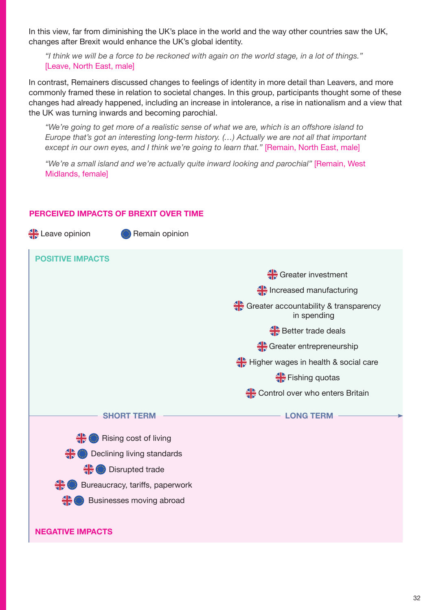In this view, far from diminishing the UK's place in the world and the way other countries saw the UK, changes after Brexit would enhance the UK's global identity.

*"I think we will be a force to be reckoned with again on the world stage, in a lot of things."*  [Leave, North East, male]

In contrast, Remainers discussed changes to feelings of identity in more detail than Leavers, and more commonly framed these in relation to societal changes. In this group, participants thought some of these changes had already happened, including an increase in intolerance, a rise in nationalism and a view that the UK was turning inwards and becoming parochial.

*"We're going to get more of a realistic sense of what we are, which is an offshore island to Europe that's got an interesting long-term history. (…) Actually we are not all that important except in our own eyes, and I think we're going to learn that."* [Remain, North East, male]

*"We're a small island and we're actually quite inward looking and parochial"* [Remain, West Midlands, female]

### **PERCEIVED IMPACTS OF BREXIT OVER TIME**

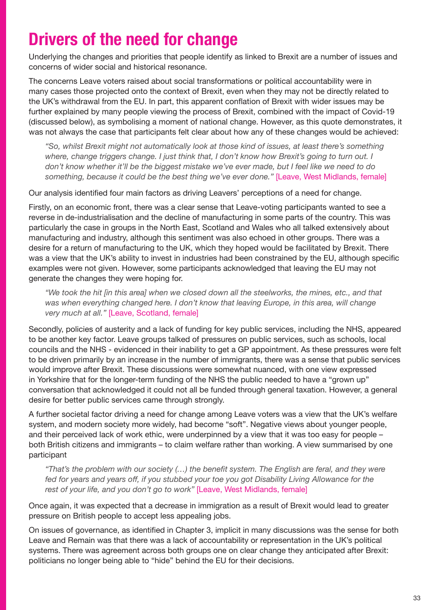### **Drivers of the need for change**

Underlying the changes and priorities that people identify as linked to Brexit are a number of issues and concerns of wider social and historical resonance.

The concerns Leave voters raised about social transformations or political accountability were in many cases those projected onto the context of Brexit, even when they may not be directly related to the UK's withdrawal from the EU. In part, this apparent conflation of Brexit with wider issues may be further explained by many people viewing the process of Brexit, combined with the impact of Covid-19 (discussed below), as symbolising a moment of national change. However, as this quote demonstrates, it was not always the case that participants felt clear about how any of these changes would be achieved:

*"So, whilst Brexit might not automatically look at those kind of issues, at least there's something where, change triggers change. I just think that, I don't know how Brexit's going to turn out. I don't know whether it'll be the biggest mistake we've ever made, but I feel like we need to do something, because it could be the best thing we've ever done."* [Leave, West Midlands, female]

Our analysis identified four main factors as driving Leavers' perceptions of a need for change.

Firstly, on an economic front, there was a clear sense that Leave-voting participants wanted to see a reverse in de-industrialisation and the decline of manufacturing in some parts of the country. This was particularly the case in groups in the North East, Scotland and Wales who all talked extensively about manufacturing and industry, although this sentiment was also echoed in other groups. There was a desire for a return of manufacturing to the UK, which they hoped would be facilitated by Brexit. There was a view that the UK's ability to invest in industries had been constrained by the EU, although specific examples were not given. However, some participants acknowledged that leaving the EU may not generate the changes they were hoping for.

*"We took the hit [in this area] when we closed down all the steelworks, the mines, etc., and that*  was when everything changed here. I don't know that leaving Europe, in this area, will change *very much at all."* [Leave, Scotland, female]

Secondly, policies of austerity and a lack of funding for key public services, including the NHS, appeared to be another key factor. Leave groups talked of pressures on public services, such as schools, local councils and the NHS - evidenced in their inability to get a GP appointment. As these pressures were felt to be driven primarily by an increase in the number of immigrants, there was a sense that public services would improve after Brexit. These discussions were somewhat nuanced, with one view expressed in Yorkshire that for the longer-term funding of the NHS the public needed to have a "grown up" conversation that acknowledged it could not all be funded through general taxation. However, a general desire for better public services came through strongly.

A further societal factor driving a need for change among Leave voters was a view that the UK's welfare system, and modern society more widely, had become "soft". Negative views about younger people, and their perceived lack of work ethic, were underpinned by a view that it was too easy for people – both British citizens and immigrants – to claim welfare rather than working. A view summarised by one participant

*"That's the problem with our society (…) the benefit system. The English are feral, and they were fed for years and years off, if you stubbed your toe you got Disability Living Allowance for the rest of your life, and you don't go to work"* [Leave, West Midlands, female]

Once again, it was expected that a decrease in immigration as a result of Brexit would lead to greater pressure on British people to accept less appealing jobs.

On issues of governance, as identified in Chapter 3, implicit in many discussions was the sense for both Leave and Remain was that there was a lack of accountability or representation in the UK's political systems. There was agreement across both groups one on clear change they anticipated after Brexit: politicians no longer being able to "hide" behind the EU for their decisions.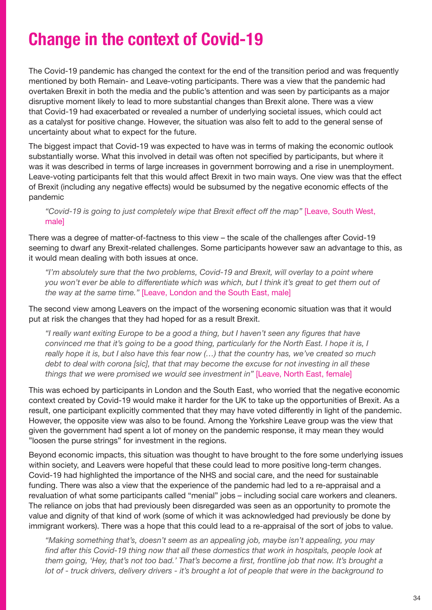### **Change in the context of Covid-19**

The Covid-19 pandemic has changed the context for the end of the transition period and was frequently mentioned by both Remain- and Leave-voting participants. There was a view that the pandemic had overtaken Brexit in both the media and the public's attention and was seen by participants as a major disruptive moment likely to lead to more substantial changes than Brexit alone. There was a view that Covid-19 had exacerbated or revealed a number of underlying societal issues, which could act as a catalyst for positive change. However, the situation was also felt to add to the general sense of uncertainty about what to expect for the future.

The biggest impact that Covid-19 was expected to have was in terms of making the economic outlook substantially worse. What this involved in detail was often not specified by participants, but where it was it was described in terms of large increases in government borrowing and a rise in unemployment. Leave-voting participants felt that this would affect Brexit in two main ways. One view was that the effect of Brexit (including any negative effects) would be subsumed by the negative economic effects of the pandemic

*"Covid-19 is going to just completely wipe that Brexit effect off the map"* [Leave, South West, male]

There was a degree of matter-of-factness to this view – the scale of the challenges after Covid-19 seeming to dwarf any Brexit-related challenges. Some participants however saw an advantage to this, as it would mean dealing with both issues at once.

*"I'm absolutely sure that the two problems, Covid-19 and Brexit, will overlay to a point where you won't ever be able to differentiate which was which, but I think it's great to get them out of the way at the same time."* [Leave, London and the South East, male]

The second view among Leavers on the impact of the worsening economic situation was that it would put at risk the changes that they had hoped for as a result Brexit.

*"I really want exiting Europe to be a good a thing, but I haven't seen any figures that have convinced me that it's going to be a good thing, particularly for the North East. I hope it is, I really hope it is, but I also have this fear now (…) that the country has, we've created so much debt to deal with corona [sic], that that may become the excuse for not investing in all these things that we were promised we would see investment in"* [Leave, North East, female]

This was echoed by participants in London and the South East, who worried that the negative economic context created by Covid-19 would make it harder for the UK to take up the opportunities of Brexit. As a result, one participant explicitly commented that they may have voted differently in light of the pandemic. However, the opposite view was also to be found. Among the Yorkshire Leave group was the view that given the government had spent a lot of money on the pandemic response, it may mean they would "loosen the purse strings" for investment in the regions.

Beyond economic impacts, this situation was thought to have brought to the fore some underlying issues within society, and Leavers were hopeful that these could lead to more positive long-term changes. Covid-19 had highlighted the importance of the NHS and social care, and the need for sustainable funding. There was also a view that the experience of the pandemic had led to a re-appraisal and a revaluation of what some participants called "menial" jobs – including social care workers and cleaners. The reliance on jobs that had previously been disregarded was seen as an opportunity to promote the value and dignity of that kind of work (some of which it was acknowledged had previously be done by immigrant workers). There was a hope that this could lead to a re-appraisal of the sort of jobs to value.

*"Making something that's, doesn't seem as an appealing job, maybe isn't appealing, you may find after this Covid-19 thing now that all these domestics that work in hospitals, people look at them going, 'Hey, that's not too bad.' That's become a first, frontline job that now. It's brought a lot of - truck drivers, delivery drivers - it's brought a lot of people that were in the background to*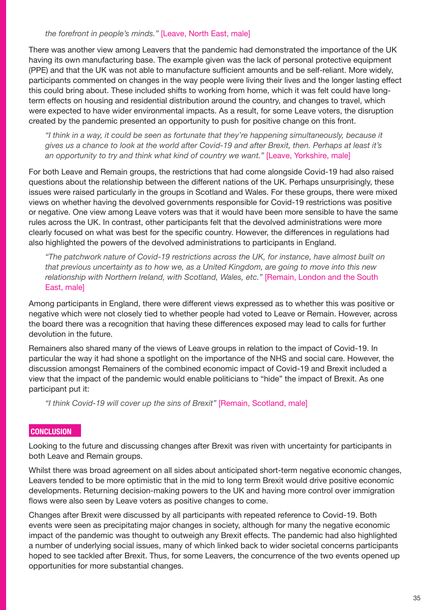### *the forefront in people's minds."* [Leave, North East, male]

There was another view among Leavers that the pandemic had demonstrated the importance of the UK having its own manufacturing base. The example given was the lack of personal protective equipment (PPE) and that the UK was not able to manufacture sufficient amounts and be self-reliant. More widely, participants commented on changes in the way people were living their lives and the longer lasting effect this could bring about. These included shifts to working from home, which it was felt could have longterm effects on housing and residential distribution around the country, and changes to travel, which were expected to have wider environmental impacts. As a result, for some Leave voters, the disruption created by the pandemic presented an opportunity to push for positive change on this front.

*"I think in a way, it could be seen as fortunate that they're happening simultaneously, because it gives us a chance to look at the world after Covid-19 and after Brexit, then. Perhaps at least it's an opportunity to try and think what kind of country we want."* [Leave, Yorkshire, male]

For both Leave and Remain groups, the restrictions that had come alongside Covid-19 had also raised questions about the relationship between the different nations of the UK. Perhaps unsurprisingly, these issues were raised particularly in the groups in Scotland and Wales. For these groups, there were mixed views on whether having the devolved governments responsible for Covid-19 restrictions was positive or negative. One view among Leave voters was that it would have been more sensible to have the same rules across the UK. In contrast, other participants felt that the devolved administrations were more clearly focused on what was best for the specific country. However, the differences in regulations had also highlighted the powers of the devolved administrations to participants in England.

*"The patchwork nature of Covid-19 restrictions across the UK, for instance, have almost built on that previous uncertainty as to how we, as a United Kingdom, are going to move into this new relationship with Northern Ireland, with Scotland, Wales, etc."* [Remain, London and the South East, male]

Among participants in England, there were different views expressed as to whether this was positive or negative which were not closely tied to whether people had voted to Leave or Remain. However, across the board there was a recognition that having these differences exposed may lead to calls for further devolution in the future.

Remainers also shared many of the views of Leave groups in relation to the impact of Covid-19. In particular the way it had shone a spotlight on the importance of the NHS and social care. However, the discussion amongst Remainers of the combined economic impact of Covid-19 and Brexit included a view that the impact of the pandemic would enable politicians to "hide" the impact of Brexit. As one participant put it:

*"I think Covid-19 will cover up the sins of Brexit"* [Remain, Scotland, male]

### **CONCLUSION**

Looking to the future and discussing changes after Brexit was riven with uncertainty for participants in both Leave and Remain groups.

Whilst there was broad agreement on all sides about anticipated short-term negative economic changes, Leavers tended to be more optimistic that in the mid to long term Brexit would drive positive economic developments. Returning decision-making powers to the UK and having more control over immigration flows were also seen by Leave voters as positive changes to come.

Changes after Brexit were discussed by all participants with repeated reference to Covid-19. Both events were seen as precipitating major changes in society, although for many the negative economic impact of the pandemic was thought to outweigh any Brexit effects. The pandemic had also highlighted a number of underlying social issues, many of which linked back to wider societal concerns participants hoped to see tackled after Brexit. Thus, for some Leavers, the concurrence of the two events opened up opportunities for more substantial changes.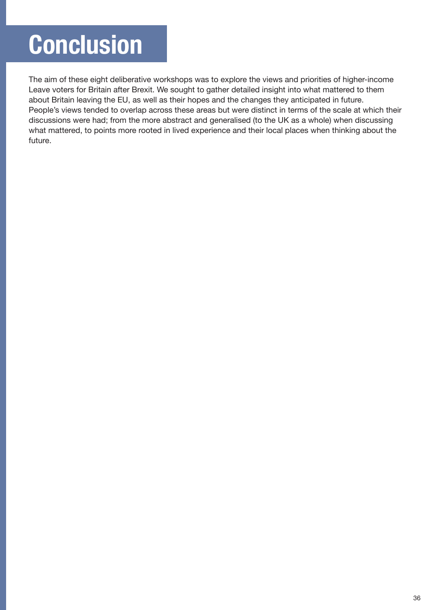## **Conclusion**

The aim of these eight deliberative workshops was to explore the views and priorities of higher-income Leave voters for Britain after Brexit. We sought to gather detailed insight into what mattered to them about Britain leaving the EU, as well as their hopes and the changes they anticipated in future. People's views tended to overlap across these areas but were distinct in terms of the scale at which their discussions were had; from the more abstract and generalised (to the UK as a whole) when discussing what mattered, to points more rooted in lived experience and their local places when thinking about the future.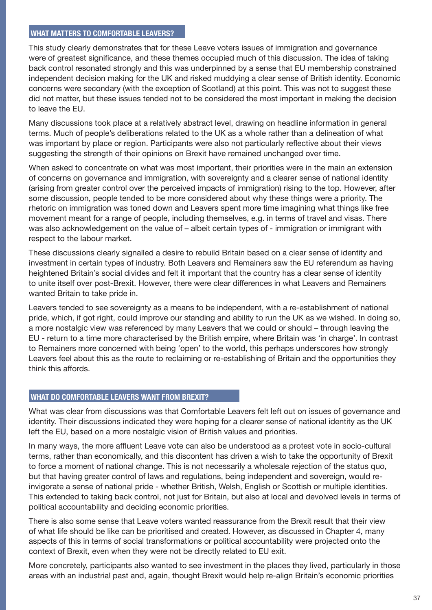#### **WHAT MATTERS TO COMFORTABLE LEAVERS?**

This study clearly demonstrates that for these Leave voters issues of immigration and governance were of greatest significance, and these themes occupied much of this discussion. The idea of taking back control resonated strongly and this was underpinned by a sense that EU membership constrained independent decision making for the UK and risked muddying a clear sense of British identity. Economic concerns were secondary (with the exception of Scotland) at this point. This was not to suggest these did not matter, but these issues tended not to be considered the most important in making the decision to leave the EU.

Many discussions took place at a relatively abstract level, drawing on headline information in general terms. Much of people's deliberations related to the UK as a whole rather than a delineation of what was important by place or region. Participants were also not particularly reflective about their views suggesting the strength of their opinions on Brexit have remained unchanged over time.

When asked to concentrate on what was most important, their priorities were in the main an extension of concerns on governance and immigration, with sovereignty and a clearer sense of national identity (arising from greater control over the perceived impacts of immigration) rising to the top. However, after some discussion, people tended to be more considered about why these things were a priority. The rhetoric on immigration was toned down and Leavers spent more time imagining what things like free movement meant for a range of people, including themselves, e.g. in terms of travel and visas. There was also acknowledgement on the value of – albeit certain types of - immigration or immigrant with respect to the labour market.

These discussions clearly signalled a desire to rebuild Britain based on a clear sense of identity and investment in certain types of industry. Both Leavers and Remainers saw the EU referendum as having heightened Britain's social divides and felt it important that the country has a clear sense of identity to unite itself over post-Brexit. However, there were clear differences in what Leavers and Remainers wanted Britain to take pride in.

Leavers tended to see sovereignty as a means to be independent, with a re-establishment of national pride, which, if got right, could improve our standing and ability to run the UK as we wished. In doing so, a more nostalgic view was referenced by many Leavers that we could or should – through leaving the EU - return to a time more characterised by the British empire, where Britain was 'in charge'. In contrast to Remainers more concerned with being 'open' to the world, this perhaps underscores how strongly Leavers feel about this as the route to reclaiming or re-establishing of Britain and the opportunities they think this affords.

### **WHAT DO COMFORTABLE LEAVERS WANT FROM BREXIT?**

What was clear from discussions was that Comfortable Leavers felt left out on issues of governance and identity. Their discussions indicated they were hoping for a clearer sense of national identity as the UK left the EU, based on a more nostalgic vision of British values and priorities.

In many ways, the more affluent Leave vote can also be understood as a protest vote in socio-cultural terms, rather than economically, and this discontent has driven a wish to take the opportunity of Brexit to force a moment of national change. This is not necessarily a wholesale rejection of the status quo, but that having greater control of laws and regulations, being independent and sovereign, would reinvigorate a sense of national pride - whether British, Welsh, English or Scottish or multiple identities. This extended to taking back control, not just for Britain, but also at local and devolved levels in terms of political accountability and deciding economic priorities.

There is also some sense that Leave voters wanted reassurance from the Brexit result that their view of what life should be like can be prioritised and created. However, as discussed in Chapter 4, many aspects of this in terms of social transformations or political accountability were projected onto the context of Brexit, even when they were not be directly related to EU exit.

More concretely, participants also wanted to see investment in the places they lived, particularly in those areas with an industrial past and, again, thought Brexit would help re-align Britain's economic priorities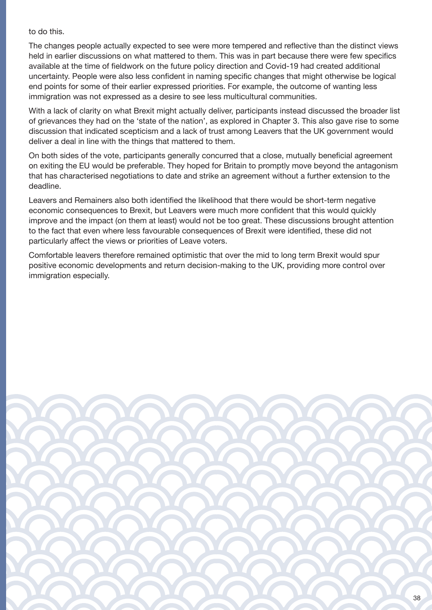#### to do this.

The changes people actually expected to see were more tempered and reflective than the distinct views held in earlier discussions on what mattered to them. This was in part because there were few specifics available at the time of fieldwork on the future policy direction and Covid-19 had created additional uncertainty. People were also less confident in naming specific changes that might otherwise be logical end points for some of their earlier expressed priorities. For example, the outcome of wanting less immigration was not expressed as a desire to see less multicultural communities.

With a lack of clarity on what Brexit might actually deliver, participants instead discussed the broader list of grievances they had on the 'state of the nation', as explored in Chapter 3. This also gave rise to some discussion that indicated scepticism and a lack of trust among Leavers that the UK government would deliver a deal in line with the things that mattered to them.

On both sides of the vote, participants generally concurred that a close, mutually beneficial agreement on exiting the EU would be preferable. They hoped for Britain to promptly move beyond the antagonism that has characterised negotiations to date and strike an agreement without a further extension to the deadline.

Leavers and Remainers also both identified the likelihood that there would be short-term negative economic consequences to Brexit, but Leavers were much more confident that this would quickly improve and the impact (on them at least) would not be too great. These discussions brought attention to the fact that even where less favourable consequences of Brexit were identified, these did not particularly affect the views or priorities of Leave voters.

Comfortable leavers therefore remained optimistic that over the mid to long term Brexit would spur positive economic developments and return decision-making to the UK, providing more control over immigration especially.

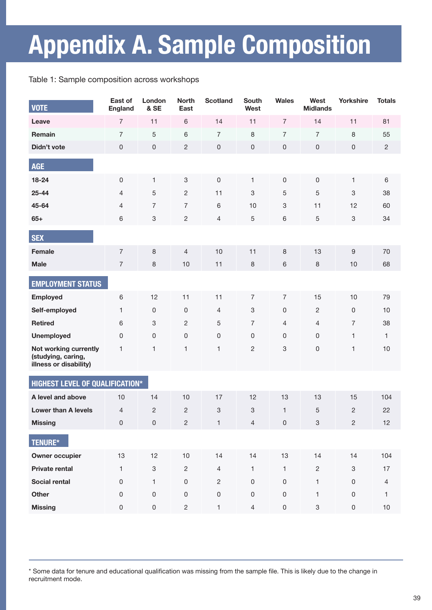## **Appendix A. Sample Composition**

### Table 1: Sample composition across workshops

| <b>VOTE</b>                                                           | East of<br><b>England</b> | London<br>& SE   | <b>North</b><br>East | <b>Scotland</b>           | <b>South</b><br>West | <b>Wales</b>     | West<br><b>Midlands</b>   | <b>Yorkshire</b>          | <b>Totals</b>  |  |
|-----------------------------------------------------------------------|---------------------------|------------------|----------------------|---------------------------|----------------------|------------------|---------------------------|---------------------------|----------------|--|
| Leave                                                                 | $\overline{7}$            | 11               | 6                    | 14                        | 11                   | $\overline{7}$   | 14                        | 11                        | 81             |  |
| Remain                                                                | $\overline{7}$            | 5                | 6                    | $\overline{7}$            | $\,8\,$              | $\overline{7}$   | $\overline{7}$            | 8                         | 55             |  |
| Didn't vote                                                           | 0                         | $\boldsymbol{0}$ | $\overline{2}$       | $\boldsymbol{0}$          | $\boldsymbol{0}$     | $\mathbf 0$      | $\boldsymbol{0}$          | $\mathbf 0$               | $\sqrt{2}$     |  |
| <b>AGE</b>                                                            |                           |                  |                      |                           |                      |                  |                           |                           |                |  |
| $18 - 24$                                                             | $\boldsymbol{0}$          | $\mathbf{1}$     | $\,3$                | $\boldsymbol{0}$          | $\mathbf{1}$         | $\mathbf{0}$     | $\mathbf 0$               | $\mathbf{1}$              | 6              |  |
| $25 - 44$                                                             | $\overline{4}$            | 5                | $\overline{c}$       | 11                        | $\,3$                | 5                | 5                         | $\mathbf{3}$              | 38             |  |
| 45-64                                                                 | $\overline{4}$            | $\overline{7}$   | $\overline{7}$       | $\,6\,$                   | 10                   | 3                | 11                        | 12                        | 60             |  |
| $65+$                                                                 | $\,6\,$                   | $\,3$            | $\overline{2}$       | $\overline{4}$            | 5                    | 6                | 5                         | $\sqrt{3}$                | 34             |  |
| <b>SEX</b>                                                            |                           |                  |                      |                           |                      |                  |                           |                           |                |  |
| Female                                                                | $\overline{7}$            | $\,8\,$          | $\overline{4}$       | 10                        | 11                   | 8                | 13                        | 9                         | 70             |  |
| <b>Male</b>                                                           | $\overline{7}$            | 8                | 10                   | 11                        | 8                    | 6                | $\,8\,$                   | 10                        | 68             |  |
| <b>EMPLOYMENT STATUS</b>                                              |                           |                  |                      |                           |                      |                  |                           |                           |                |  |
| <b>Employed</b>                                                       | $\,6\,$                   | 12               | 11                   | 11                        | $\overline{7}$       | $\overline{7}$   | 15                        | 10                        | 79             |  |
| Self-employed                                                         | 1                         | $\boldsymbol{0}$ | $\overline{0}$       | $\overline{4}$            | $\,3$                | $\mathbf{0}$     | $\sqrt{2}$                | $\mathbf{0}$              | 10             |  |
| <b>Retired</b>                                                        | 6                         | $\,3$            | $\overline{2}$       | 5                         | $\overline{7}$       | 4                | $\overline{4}$            | $\overline{7}$            | 38             |  |
| <b>Unemployed</b>                                                     | $\boldsymbol{0}$          | $\boldsymbol{0}$ | $\mathbf 0$          | $\boldsymbol{0}$          | $\mathbf 0$          | $\overline{0}$   | $\boldsymbol{0}$          | $\mathbf{1}$              | $\mathbf{1}$   |  |
| Not working currently<br>(studying, caring,<br>illness or disability) | 1                         | $\mathbf{1}$     | $\mathbf{1}$         | 1                         | $\overline{2}$       | 3                | $\boldsymbol{0}$          | 1                         | 10             |  |
| <b>HIGHEST LEVEL OF QUALIFICATION*</b>                                |                           |                  |                      |                           |                      |                  |                           |                           |                |  |
| A level and above                                                     | 10                        | 14               | 10                   | 17                        | 12                   | 13               | 13                        | 15                        | 104            |  |
| <b>Lower than A levels</b>                                            | $\overline{4}$            | $\overline{c}$   | $\overline{2}$       | $\ensuremath{\mathsf{3}}$ | $\mathfrak{S}$       | $\mathbf{1}$     | 5                         | $\overline{c}$            | 22             |  |
| <b>Missing</b>                                                        | $\boldsymbol{0}$          | $\boldsymbol{0}$ | $\overline{c}$       | $\mathbf{1}$              | $\overline{4}$       | $\boldsymbol{0}$ | $\ensuremath{\mathsf{3}}$ | $\overline{c}$            | 12             |  |
| <b>TENURE*</b>                                                        |                           |                  |                      |                           |                      |                  |                           |                           |                |  |
| <b>Owner occupier</b>                                                 | 13                        | 12               | 10                   | 14                        | 14                   | 13               | 14                        | 14                        | 104            |  |
| <b>Private rental</b>                                                 | $\mathbf{1}$              | $\,3$            | $\overline{c}$       | $\overline{4}$            | $\mathbf{1}$         | $\mathbf{1}$     | $\sqrt{2}$                | $\ensuremath{\mathsf{3}}$ | 17             |  |
| Social rental                                                         | $\boldsymbol{0}$          | $\mathbf{1}$     | $\boldsymbol{0}$     | $\overline{2}$            | $\boldsymbol{0}$     | $\boldsymbol{0}$ | $\mathbf{1}$              | $\boldsymbol{0}$          | $\overline{4}$ |  |
| Other                                                                 | $\boldsymbol{0}$          | $\boldsymbol{0}$ | $\boldsymbol{0}$     | $\boldsymbol{0}$          | $\boldsymbol{0}$     | $\boldsymbol{0}$ | $\mathbf{1}$              | $\boldsymbol{0}$          | $\mathbf{1}$   |  |
| <b>Missing</b>                                                        | $\boldsymbol{0}$          | $\boldsymbol{0}$ | $\overline{2}$       | $\mathbf{1}$              | $\overline{4}$       | $\boldsymbol{0}$ | $\ensuremath{\mathsf{3}}$ | $\boldsymbol{0}$          | 10             |  |

\* Some data for tenure and educational qualification was missing from the sample file. This is likely due to the change in recruitment mode.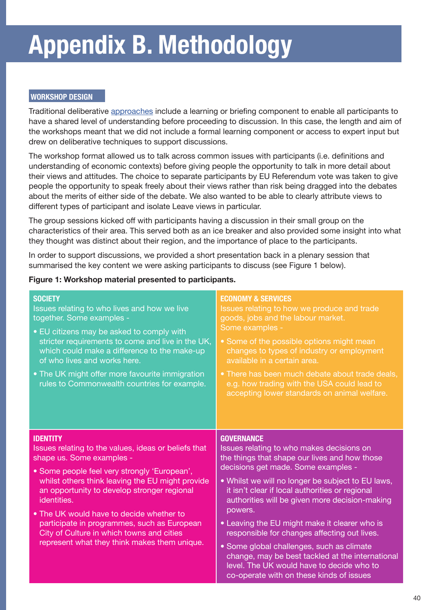## **Appendix B. Methodology**

### **WORKSHOP DESIGN**

Traditional deliberative [approaches](https://www.oecd-ilibrary.org/sites/ccb0b123-en/index.html?itemId=/content/component/ccb0b123-en) include a learning or briefing component to enable all participants to have a shared level of understanding before proceeding to discussion. In this case, the length and aim of the workshops meant that we did not include a formal learning component or access to expert input but drew on deliberative techniques to support discussions.

The workshop format allowed us to talk across common issues with participants (i.e. definitions and understanding of economic contexts) before giving people the opportunity to talk in more detail about their views and attitudes. The choice to separate participants by EU Referendum vote was taken to give people the opportunity to speak freely about their views rather than risk being dragged into the debates about the merits of either side of the debate. We also wanted to be able to clearly attribute views to different types of participant and isolate Leave views in particular.

The group sessions kicked off with participants having a discussion in their small group on the characteristics of their area. This served both as an ice breaker and also provided some insight into what they thought was distinct about their region, and the importance of place to the participants.

In order to support discussions, we provided a short presentation back in a plenary session that summarised the key content we were asking participants to discuss (see Figure 1 below).

### **Figure 1: Workshop material presented to participants.**

| <b>SOCIETY</b><br>Issues relating to who lives and how we live<br>together. Some examples -<br>• EU citizens may be asked to comply with<br>stricter requirements to come and live in the UK,<br>which could make a difference to the make-up<br>of who lives and works here.<br>• The UK might offer more favourite immigration<br>rules to Commonwealth countries for example.                                                                               | <b>ECONOMY &amp; SERVICES</b><br>Issues relating to how we produce and trade<br>goods, jobs and the labour market.<br>Some examples -<br>• Some of the possible options might mean<br>changes to types of industry or employment<br>available in a certain area.<br>• There has been much debate about trade deals,<br>e.g. how trading with the USA could lead to<br>accepting lower standards on animal welfare.                                                                                                                                                                                                     |
|----------------------------------------------------------------------------------------------------------------------------------------------------------------------------------------------------------------------------------------------------------------------------------------------------------------------------------------------------------------------------------------------------------------------------------------------------------------|------------------------------------------------------------------------------------------------------------------------------------------------------------------------------------------------------------------------------------------------------------------------------------------------------------------------------------------------------------------------------------------------------------------------------------------------------------------------------------------------------------------------------------------------------------------------------------------------------------------------|
| <b>IDENTITY</b><br>Issues relating to the values, ideas or beliefs that<br>shape us. Some examples -<br>• Some people feel very strongly 'European',<br>whilst others think leaving the EU might provide<br>an opportunity to develop stronger regional<br>identities.<br>• The UK would have to decide whether to<br>participate in programmes, such as European<br>City of Culture in which towns and cities<br>represent what they think makes them unique. | <b>GOVERNANCE</b><br>Issues relating to who makes decisions on<br>the things that shape our lives and how those<br>decisions get made. Some examples -<br>• Whilst we will no longer be subject to EU laws,<br>it isn't clear if local authorities or regional<br>authorities will be given more decision-making<br>powers.<br>• Leaving the EU might make it clearer who is<br>responsible for changes affecting out lives.<br>· Some global challenges, such as climate<br>change, may be best tackled at the international<br>level. The UK would have to decide who to<br>co-operate with on these kinds of issues |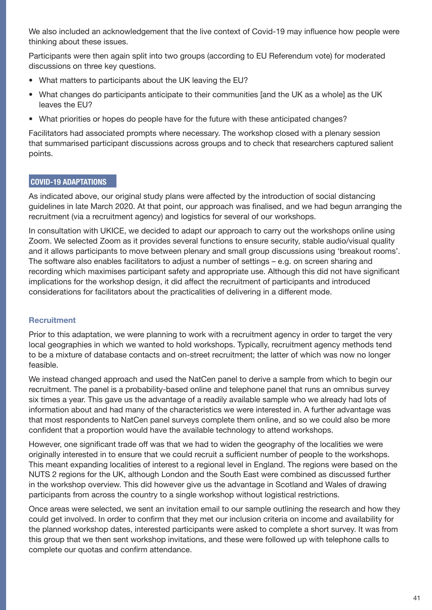We also included an acknowledgement that the live context of Covid-19 may influence how people were thinking about these issues.

Participants were then again split into two groups (according to EU Referendum vote) for moderated discussions on three key questions.

- What matters to participants about the UK leaving the EU?
- What changes do participants anticipate to their communities [and the UK as a whole] as the UK leaves the EU?
- What priorities or hopes do people have for the future with these anticipated changes?

Facilitators had associated prompts where necessary. The workshop closed with a plenary session that summarised participant discussions across groups and to check that researchers captured salient points.

### **COVID-19 ADAPTATIONS**

As indicated above, our original study plans were affected by the introduction of social distancing guidelines in late March 2020. At that point, our approach was finalised, and we had begun arranging the recruitment (via a recruitment agency) and logistics for several of our workshops.

In consultation with UKICE, we decided to adapt our approach to carry out the workshops online using Zoom. We selected Zoom as it provides several functions to ensure security, stable audio/visual quality and it allows participants to move between plenary and small group discussions using 'breakout rooms'. The software also enables facilitators to adjust a number of settings – e.g. on screen sharing and recording which maximises participant safety and appropriate use. Although this did not have significant implications for the workshop design, it did affect the recruitment of participants and introduced considerations for facilitators about the practicalities of delivering in a different mode.

### **Recruitment**

Prior to this adaptation, we were planning to work with a recruitment agency in order to target the very local geographies in which we wanted to hold workshops. Typically, recruitment agency methods tend to be a mixture of database contacts and on-street recruitment; the latter of which was now no longer feasible.

We instead changed approach and used the NatCen panel to derive a sample from which to begin our recruitment. The panel is a probability-based online and telephone panel that runs an omnibus survey six times a year. This gave us the advantage of a readily available sample who we already had lots of information about and had many of the characteristics we were interested in. A further advantage was that most respondents to NatCen panel surveys complete them online, and so we could also be more confident that a proportion would have the available technology to attend workshops.

However, one significant trade off was that we had to widen the geography of the localities we were originally interested in to ensure that we could recruit a sufficient number of people to the workshops. This meant expanding localities of interest to a regional level in England. The regions were based on the NUTS 2 regions for the UK, although London and the South East were combined as discussed further in the workshop overview. This did however give us the advantage in Scotland and Wales of drawing participants from across the country to a single workshop without logistical restrictions.

Once areas were selected, we sent an invitation email to our sample outlining the research and how they could get involved. In order to confirm that they met our inclusion criteria on income and availability for the planned workshop dates, interested participants were asked to complete a short survey. It was from this group that we then sent workshop invitations, and these were followed up with telephone calls to complete our quotas and confirm attendance.